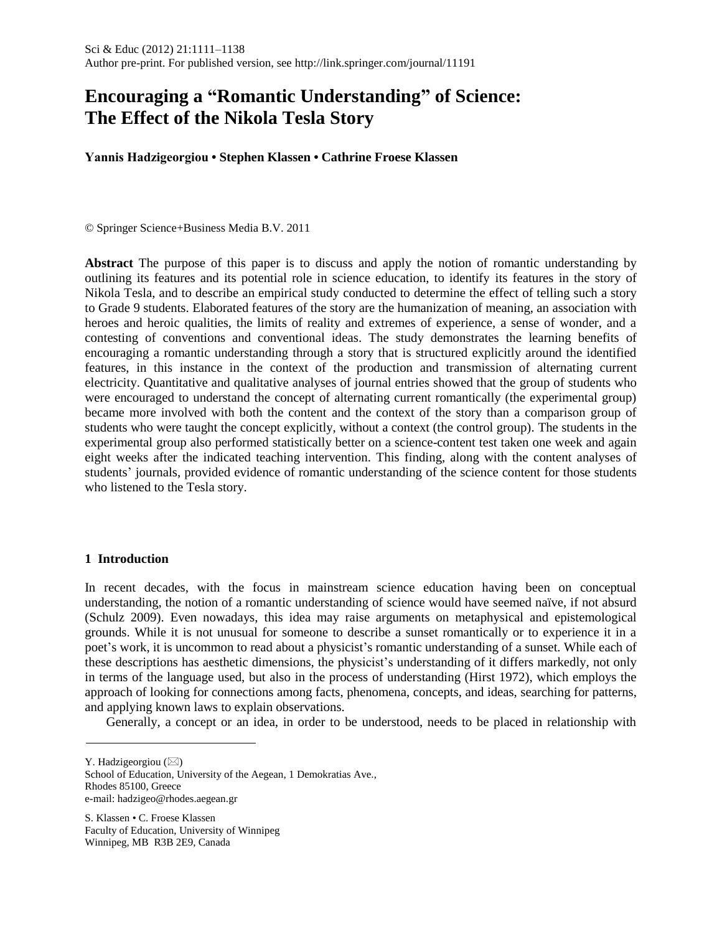# **Encouraging a "Romantic Understanding" of Science: The Effect of the Nikola Tesla Story**

**Yannis Hadzigeorgiou • Stephen Klassen • Cathrine Froese Klassen**

© Springer Science+Business Media B.V. 2011

**Abstract** The purpose of this paper is to discuss and apply the notion of romantic understanding by outlining its features and its potential role in science education, to identify its features in the story of Nikola Tesla, and to describe an empirical study conducted to determine the effect of telling such a story to Grade 9 students. Elaborated features of the story are the humanization of meaning, an association with heroes and heroic qualities, the limits of reality and extremes of experience, a sense of wonder, and a contesting of conventions and conventional ideas. The study demonstrates the learning benefits of encouraging a romantic understanding through a story that is structured explicitly around the identified features, in this instance in the context of the production and transmission of alternating current electricity. Quantitative and qualitative analyses of journal entries showed that the group of students who were encouraged to understand the concept of alternating current romantically (the experimental group) became more involved with both the content and the context of the story than a comparison group of students who were taught the concept explicitly, without a context (the control group). The students in the experimental group also performed statistically better on a science-content test taken one week and again eight weeks after the indicated teaching intervention. This finding, along with the content analyses of students' journals, provided evidence of romantic understanding of the science content for those students who listened to the Tesla story.

### **1 Introduction**

In recent decades, with the focus in mainstream science education having been on conceptual understanding, the notion of a romantic understanding of science would have seemed naïve, if not absurd (Schulz 2009). Even nowadays, this idea may raise arguments on metaphysical and epistemological grounds. While it is not unusual for someone to describe a sunset romantically or to experience it in a poet's work, it is uncommon to read about a physicist's romantic understanding of a sunset. While each of these descriptions has aesthetic dimensions, the physicist's understanding of it differs markedly, not only in terms of the language used, but also in the process of understanding (Hirst 1972), which employs the approach of looking for connections among facts, phenomena, concepts, and ideas, searching for patterns, and applying known laws to explain observations.

Generally, a concept or an idea, in order to be understood, needs to be placed in relationship with

Y. Hadzigeorgiou  $(\boxtimes)$ 

S. Klassen • C. Froese Klassen Faculty of Education, University of Winnipeg Winnipeg, MB R3B 2E9, Canada

School of Education, University of the Aegean, 1 Demokratias Ave., Rhodes 85100, Greece e-mail: hadzigeo@rhodes.aegean.gr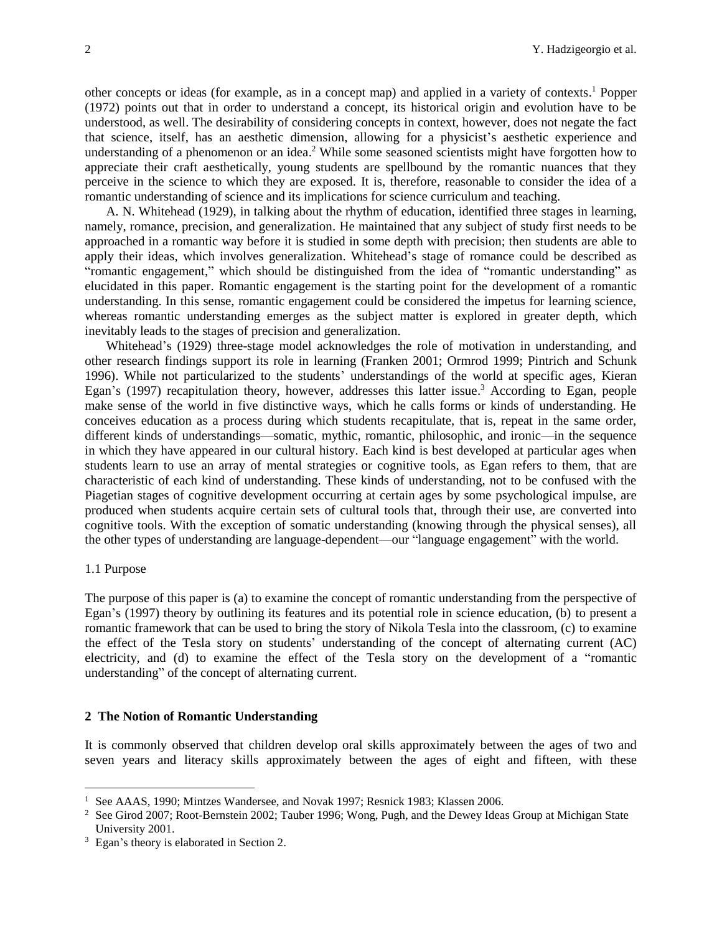other concepts or ideas (for example, as in a concept map) and applied in a variety of contexts. <sup>1</sup> Popper (1972) points out that in order to understand a concept, its historical origin and evolution have to be understood, as well. The desirability of considering concepts in context, however, does not negate the fact that science, itself, has an aesthetic dimension, allowing for a physicist's aesthetic experience and understanding of a phenomenon or an idea.<sup>2</sup> While some seasoned scientists might have forgotten how to appreciate their craft aesthetically, young students are spellbound by the romantic nuances that they perceive in the science to which they are exposed. It is, therefore, reasonable to consider the idea of a romantic understanding of science and its implications for science curriculum and teaching.

A. N. Whitehead (1929), in talking about the rhythm of education, identified three stages in learning, namely, romance, precision, and generalization. He maintained that any subject of study first needs to be approached in a romantic way before it is studied in some depth with precision; then students are able to apply their ideas, which involves generalization. Whitehead's stage of romance could be described as "romantic engagement," which should be distinguished from the idea of "romantic understanding" as elucidated in this paper. Romantic engagement is the starting point for the development of a romantic understanding. In this sense, romantic engagement could be considered the impetus for learning science, whereas romantic understanding emerges as the subject matter is explored in greater depth, which inevitably leads to the stages of precision and generalization.

Whitehead's (1929) three-stage model acknowledges the role of motivation in understanding, and other research findings support its role in learning (Franken 2001; Ormrod 1999; Pintrich and Schunk 1996). While not particularized to the students' understandings of the world at specific ages, Kieran Egan's (1997) recapitulation theory, however, addresses this latter issue.<sup>3</sup> According to Egan, people make sense of the world in five distinctive ways, which he calls forms or kinds of understanding. He conceives education as a process during which students recapitulate, that is, repeat in the same order, different kinds of understandings—somatic, mythic, romantic, philosophic, and ironic—in the sequence in which they have appeared in our cultural history. Each kind is best developed at particular ages when students learn to use an array of mental strategies or cognitive tools, as Egan refers to them, that are characteristic of each kind of understanding. These kinds of understanding, not to be confused with the Piagetian stages of cognitive development occurring at certain ages by some psychological impulse, are produced when students acquire certain sets of cultural tools that, through their use, are converted into cognitive tools. With the exception of somatic understanding (knowing through the physical senses), all the other types of understanding are language-dependent—our "language engagement" with the world.

#### 1.1 Purpose

 $\overline{a}$ 

The purpose of this paper is (a) to examine the concept of romantic understanding from the perspective of Egan's (1997) theory by outlining its features and its potential role in science education, (b) to present a romantic framework that can be used to bring the story of Nikola Tesla into the classroom, (c) to examine the effect of the Tesla story on students' understanding of the concept of alternating current (AC) electricity, and (d) to examine the effect of the Tesla story on the development of a "romantic understanding" of the concept of alternating current.

### **2 The Notion of Romantic Understanding**

It is commonly observed that children develop oral skills approximately between the ages of two and seven years and literacy skills approximately between the ages of eight and fifteen, with these

<sup>&</sup>lt;sup>1</sup> See AAAS, 1990; Mintzes Wandersee, and Novak 1997; Resnick 1983; Klassen 2006.

<sup>&</sup>lt;sup>2</sup> See Girod 2007; Root-Bernstein 2002; Tauber 1996; Wong, Pugh, and the Dewey Ideas Group at Michigan State University 2001.

<sup>&</sup>lt;sup>3</sup> Egan's theory is elaborated in Section 2.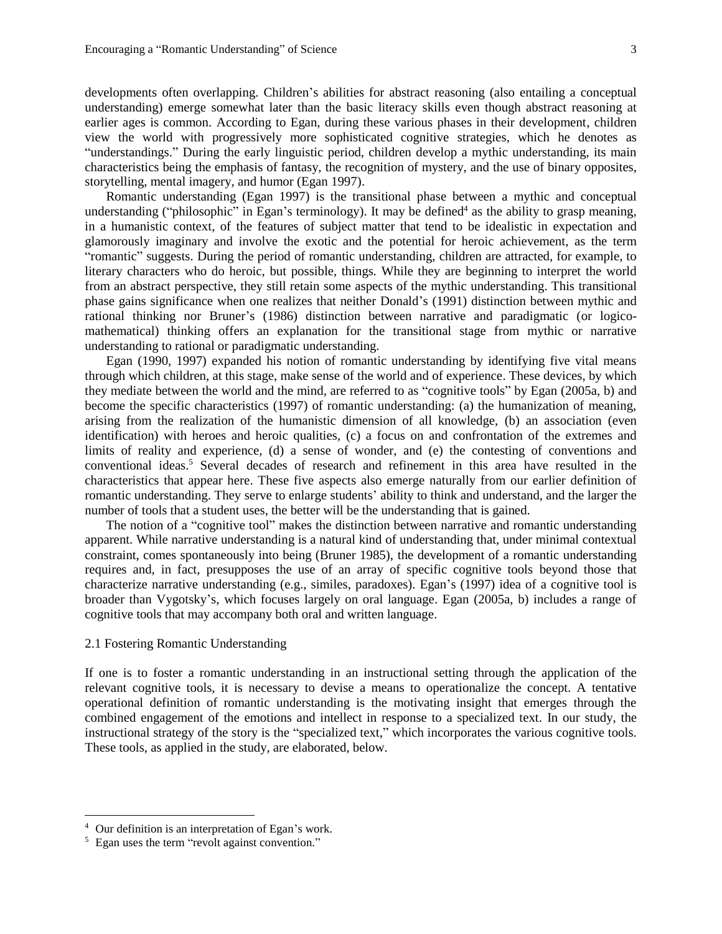developments often overlapping. Children's abilities for abstract reasoning (also entailing a conceptual understanding) emerge somewhat later than the basic literacy skills even though abstract reasoning at earlier ages is common. According to Egan, during these various phases in their development, children view the world with progressively more sophisticated cognitive strategies, which he denotes as "understandings." During the early linguistic period, children develop a mythic understanding, its main characteristics being the emphasis of fantasy, the recognition of mystery, and the use of binary opposites, storytelling, mental imagery, and humor (Egan 1997).

Romantic understanding (Egan 1997) is the transitional phase between a mythic and conceptual understanding ("philosophic" in Egan's terminology). It may be defined<sup>4</sup> as the ability to grasp meaning, in a humanistic context, of the features of subject matter that tend to be idealistic in expectation and glamorously imaginary and involve the exotic and the potential for heroic achievement, as the term "romantic" suggests. During the period of romantic understanding, children are attracted, for example, to literary characters who do heroic, but possible, things. While they are beginning to interpret the world from an abstract perspective, they still retain some aspects of the mythic understanding. This transitional phase gains significance when one realizes that neither Donald's (1991) distinction between mythic and rational thinking nor Bruner's (1986) distinction between narrative and paradigmatic (or logicomathematical) thinking offers an explanation for the transitional stage from mythic or narrative understanding to rational or paradigmatic understanding.

Egan (1990, 1997) expanded his notion of romantic understanding by identifying five vital means through which children, at this stage, make sense of the world and of experience. These devices, by which they mediate between the world and the mind, are referred to as "cognitive tools" by Egan (2005a, b) and become the specific characteristics (1997) of romantic understanding: (a) the humanization of meaning, arising from the realization of the humanistic dimension of all knowledge, (b) an association (even identification) with heroes and heroic qualities, (c) a focus on and confrontation of the extremes and limits of reality and experience, (d) a sense of wonder, and (e) the contesting of conventions and conventional ideas.<sup>5</sup> Several decades of research and refinement in this area have resulted in the characteristics that appear here. These five aspects also emerge naturally from our earlier definition of romantic understanding. They serve to enlarge students' ability to think and understand, and the larger the number of tools that a student uses, the better will be the understanding that is gained.

The notion of a "cognitive tool" makes the distinction between narrative and romantic understanding apparent. While narrative understanding is a natural kind of understanding that, under minimal contextual constraint, comes spontaneously into being (Bruner 1985), the development of a romantic understanding requires and, in fact, presupposes the use of an array of specific cognitive tools beyond those that characterize narrative understanding (e.g., similes, paradoxes). Egan's (1997) idea of a cognitive tool is broader than Vygotsky's, which focuses largely on oral language. Egan (2005a, b) includes a range of cognitive tools that may accompany both oral and written language.

### 2.1 Fostering Romantic Understanding

If one is to foster a romantic understanding in an instructional setting through the application of the relevant cognitive tools, it is necessary to devise a means to operationalize the concept. A tentative operational definition of romantic understanding is the motivating insight that emerges through the combined engagement of the emotions and intellect in response to a specialized text. In our study, the instructional strategy of the story is the "specialized text," which incorporates the various cognitive tools. These tools, as applied in the study, are elaborated, below.

 $\overline{a}$ 

<sup>4</sup> Our definition is an interpretation of Egan's work.

<sup>5</sup> Egan uses the term "revolt against convention."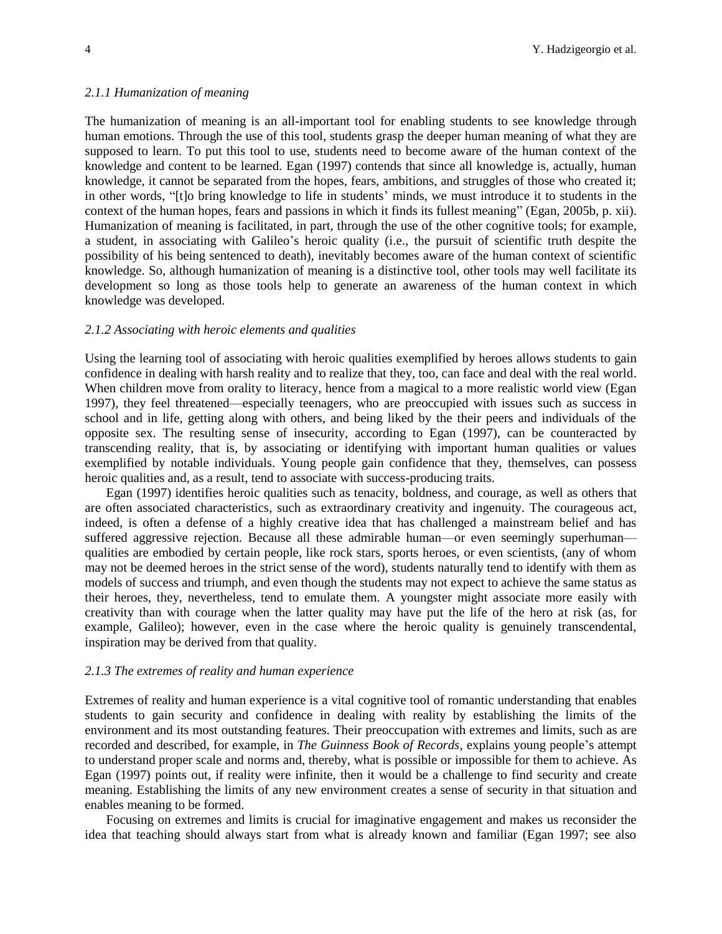### *2.1.1 Humanization of meaning*

The humanization of meaning is an all-important tool for enabling students to see knowledge through human emotions. Through the use of this tool, students grasp the deeper human meaning of what they are supposed to learn. To put this tool to use, students need to become aware of the human context of the knowledge and content to be learned. Egan (1997) contends that since all knowledge is, actually, human knowledge, it cannot be separated from the hopes, fears, ambitions, and struggles of those who created it; in other words, "[t]o bring knowledge to life in students' minds, we must introduce it to students in the context of the human hopes, fears and passions in which it finds its fullest meaning" (Egan, 2005b, p. xii). Humanization of meaning is facilitated, in part, through the use of the other cognitive tools; for example, a student, in associating with Galileo's heroic quality (i.e., the pursuit of scientific truth despite the possibility of his being sentenced to death), inevitably becomes aware of the human context of scientific knowledge. So, although humanization of meaning is a distinctive tool, other tools may well facilitate its development so long as those tools help to generate an awareness of the human context in which knowledge was developed.

# *2.1.2 Associating with heroic elements and qualities*

Using the learning tool of associating with heroic qualities exemplified by heroes allows students to gain confidence in dealing with harsh reality and to realize that they, too, can face and deal with the real world. When children move from orality to literacy, hence from a magical to a more realistic world view (Egan 1997), they feel threatened—especially teenagers, who are preoccupied with issues such as success in school and in life, getting along with others, and being liked by the their peers and individuals of the opposite sex. The resulting sense of insecurity, according to Egan (1997), can be counteracted by transcending reality, that is, by associating or identifying with important human qualities or values exemplified by notable individuals. Young people gain confidence that they, themselves, can possess heroic qualities and, as a result, tend to associate with success-producing traits.

Egan (1997) identifies heroic qualities such as tenacity, boldness, and courage, as well as others that are often associated characteristics, such as extraordinary creativity and ingenuity. The courageous act, indeed, is often a defense of a highly creative idea that has challenged a mainstream belief and has suffered aggressive rejection. Because all these admirable human—or even seemingly superhuman qualities are embodied by certain people, like rock stars, sports heroes, or even scientists, (any of whom may not be deemed heroes in the strict sense of the word), students naturally tend to identify with them as models of success and triumph, and even though the students may not expect to achieve the same status as their heroes, they, nevertheless, tend to emulate them. A youngster might associate more easily with creativity than with courage when the latter quality may have put the life of the hero at risk (as, for example, Galileo); however, even in the case where the heroic quality is genuinely transcendental, inspiration may be derived from that quality.

### *2.1.3 The extremes of reality and human experience*

Extremes of reality and human experience is a vital cognitive tool of romantic understanding that enables students to gain security and confidence in dealing with reality by establishing the limits of the environment and its most outstanding features. Their preoccupation with extremes and limits, such as are recorded and described, for example, in *The Guinness Book of Records*, explains young people's attempt to understand proper scale and norms and, thereby, what is possible or impossible for them to achieve. As Egan (1997) points out, if reality were infinite, then it would be a challenge to find security and create meaning. Establishing the limits of any new environment creates a sense of security in that situation and enables meaning to be formed.

Focusing on extremes and limits is crucial for imaginative engagement and makes us reconsider the idea that teaching should always start from what is already known and familiar (Egan 1997; see also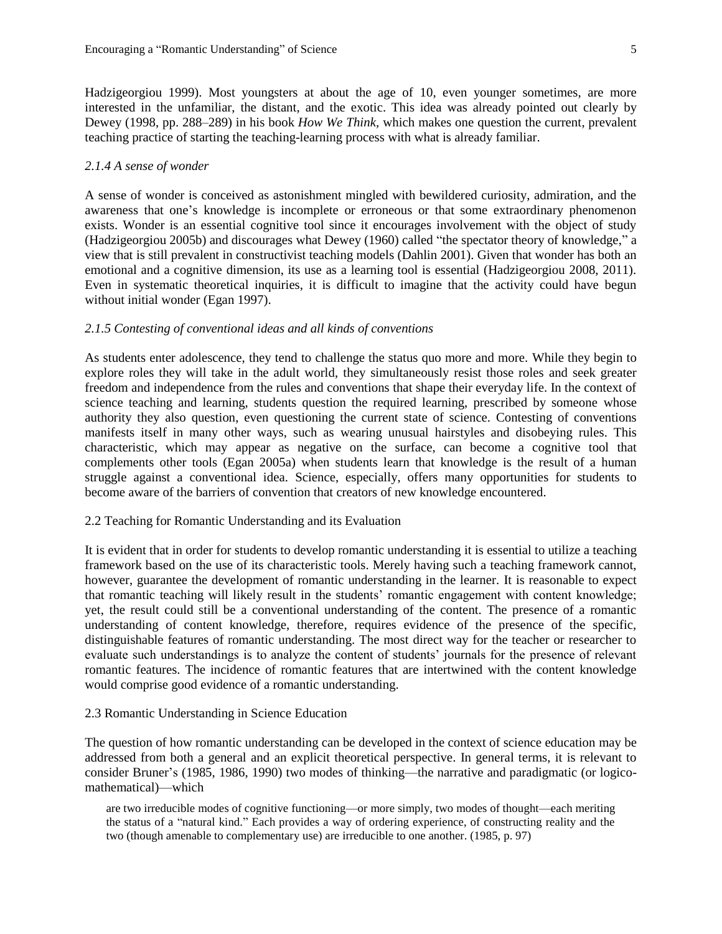Hadzigeorgiou 1999). Most youngsters at about the age of 10, even younger sometimes, are more interested in the unfamiliar, the distant, and the exotic. This idea was already pointed out clearly by Dewey (1998, pp. 288–289) in his book *How We Think,* which makes one question the current, prevalent teaching practice of starting the teaching-learning process with what is already familiar.

### *2.1.4 A sense of wonder*

A sense of wonder is conceived as astonishment mingled with bewildered curiosity, admiration, and the awareness that one's knowledge is incomplete or erroneous or that some extraordinary phenomenon exists. Wonder is an essential cognitive tool since it encourages involvement with the object of study (Hadzigeorgiou 2005b) and discourages what Dewey (1960) called "the spectator theory of knowledge," a view that is still prevalent in constructivist teaching models (Dahlin 2001). Given that wonder has both an emotional and a cognitive dimension, its use as a learning tool is essential (Hadzigeorgiou 2008, 2011). Even in systematic theoretical inquiries, it is difficult to imagine that the activity could have begun without initial wonder (Egan 1997).

### *2.1.5 Contesting of conventional ideas and all kinds of conventions*

As students enter adolescence, they tend to challenge the status quo more and more. While they begin to explore roles they will take in the adult world, they simultaneously resist those roles and seek greater freedom and independence from the rules and conventions that shape their everyday life. In the context of science teaching and learning, students question the required learning, prescribed by someone whose authority they also question, even questioning the current state of science. Contesting of conventions manifests itself in many other ways, such as wearing unusual hairstyles and disobeying rules. This characteristic, which may appear as negative on the surface, can become a cognitive tool that complements other tools (Egan 2005a) when students learn that knowledge is the result of a human struggle against a conventional idea. Science, especially, offers many opportunities for students to become aware of the barriers of convention that creators of new knowledge encountered.

### 2.2 Teaching for Romantic Understanding and its Evaluation

It is evident that in order for students to develop romantic understanding it is essential to utilize a teaching framework based on the use of its characteristic tools. Merely having such a teaching framework cannot, however, guarantee the development of romantic understanding in the learner. It is reasonable to expect that romantic teaching will likely result in the students' romantic engagement with content knowledge; yet, the result could still be a conventional understanding of the content. The presence of a romantic understanding of content knowledge, therefore, requires evidence of the presence of the specific, distinguishable features of romantic understanding. The most direct way for the teacher or researcher to evaluate such understandings is to analyze the content of students' journals for the presence of relevant romantic features. The incidence of romantic features that are intertwined with the content knowledge would comprise good evidence of a romantic understanding.

### 2.3 Romantic Understanding in Science Education

The question of how romantic understanding can be developed in the context of science education may be addressed from both a general and an explicit theoretical perspective. In general terms, it is relevant to consider Bruner's (1985, 1986, 1990) two modes of thinking—the narrative and paradigmatic (or logicomathematical)—which

are two irreducible modes of cognitive functioning—or more simply, two modes of thought—each meriting the status of a "natural kind." Each provides a way of ordering experience, of constructing reality and the two (though amenable to complementary use) are irreducible to one another. (1985, p. 97)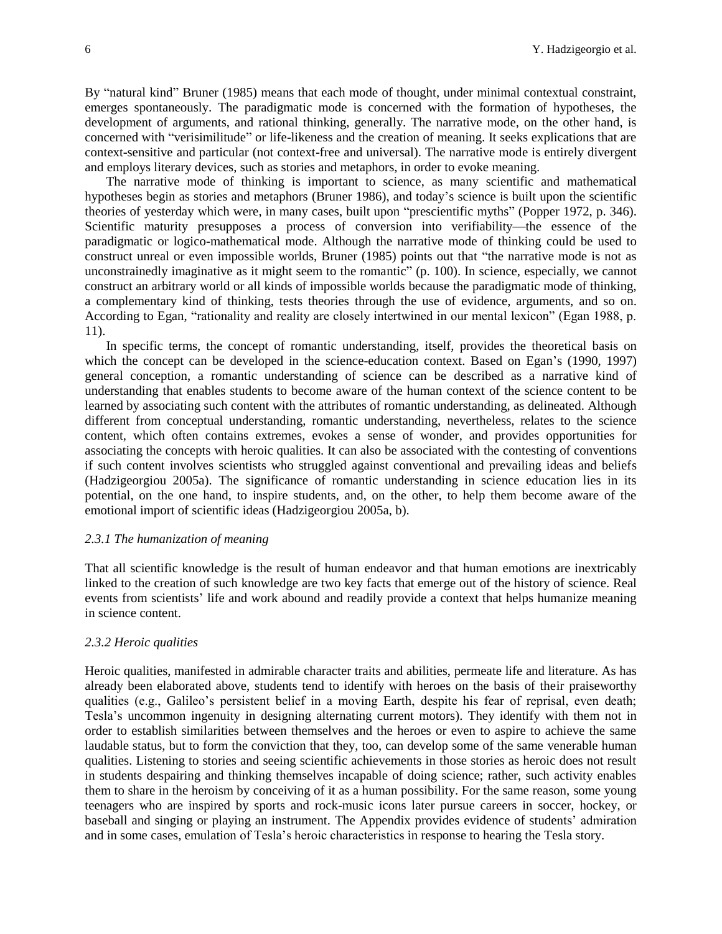By "natural kind" Bruner (1985) means that each mode of thought, under minimal contextual constraint, emerges spontaneously. The paradigmatic mode is concerned with the formation of hypotheses, the development of arguments, and rational thinking, generally. The narrative mode, on the other hand, is concerned with "verisimilitude" or life-likeness and the creation of meaning. It seeks explications that are context-sensitive and particular (not context-free and universal). The narrative mode is entirely divergent and employs literary devices, such as stories and metaphors, in order to evoke meaning.

The narrative mode of thinking is important to science, as many scientific and mathematical hypotheses begin as stories and metaphors (Bruner 1986), and today's science is built upon the scientific theories of yesterday which were, in many cases, built upon "prescientific myths" (Popper 1972, p. 346). Scientific maturity presupposes a process of conversion into verifiability—the essence of the paradigmatic or logico-mathematical mode. Although the narrative mode of thinking could be used to construct unreal or even impossible worlds, Bruner (1985) points out that "the narrative mode is not as unconstrainedly imaginative as it might seem to the romantic" (p. 100). In science, especially, we cannot construct an arbitrary world or all kinds of impossible worlds because the paradigmatic mode of thinking, a complementary kind of thinking, tests theories through the use of evidence, arguments, and so on. According to Egan, "rationality and reality are closely intertwined in our mental lexicon" (Egan 1988, p. 11).

In specific terms, the concept of romantic understanding, itself, provides the theoretical basis on which the concept can be developed in the science-education context. Based on Egan's (1990, 1997) general conception, a romantic understanding of science can be described as a narrative kind of understanding that enables students to become aware of the human context of the science content to be learned by associating such content with the attributes of romantic understanding, as delineated. Although different from conceptual understanding, romantic understanding, nevertheless, relates to the science content, which often contains extremes, evokes a sense of wonder, and provides opportunities for associating the concepts with heroic qualities. It can also be associated with the contesting of conventions if such content involves scientists who struggled against conventional and prevailing ideas and beliefs (Hadzigeorgiou 2005a). The significance of romantic understanding in science education lies in its potential, on the one hand, to inspire students, and, on the other, to help them become aware of the emotional import of scientific ideas (Hadzigeorgiou 2005a, b).

### *2.3.1 The humanization of meaning*

That all scientific knowledge is the result of human endeavor and that human emotions are inextricably linked to the creation of such knowledge are two key facts that emerge out of the history of science. Real events from scientists' life and work abound and readily provide a context that helps humanize meaning in science content.

### *2.3.2 Heroic qualities*

Heroic qualities, manifested in admirable character traits and abilities, permeate life and literature. As has already been elaborated above, students tend to identify with heroes on the basis of their praiseworthy qualities (e.g., Galileo's persistent belief in a moving Earth, despite his fear of reprisal, even death; Tesla's uncommon ingenuity in designing alternating current motors). They identify with them not in order to establish similarities between themselves and the heroes or even to aspire to achieve the same laudable status, but to form the conviction that they, too, can develop some of the same venerable human qualities. Listening to stories and seeing scientific achievements in those stories as heroic does not result in students despairing and thinking themselves incapable of doing science; rather, such activity enables them to share in the heroism by conceiving of it as a human possibility. For the same reason, some young teenagers who are inspired by sports and rock-music icons later pursue careers in soccer, hockey, or baseball and singing or playing an instrument. The Appendix provides evidence of students' admiration and in some cases, emulation of Tesla's heroic characteristics in response to hearing the Tesla story.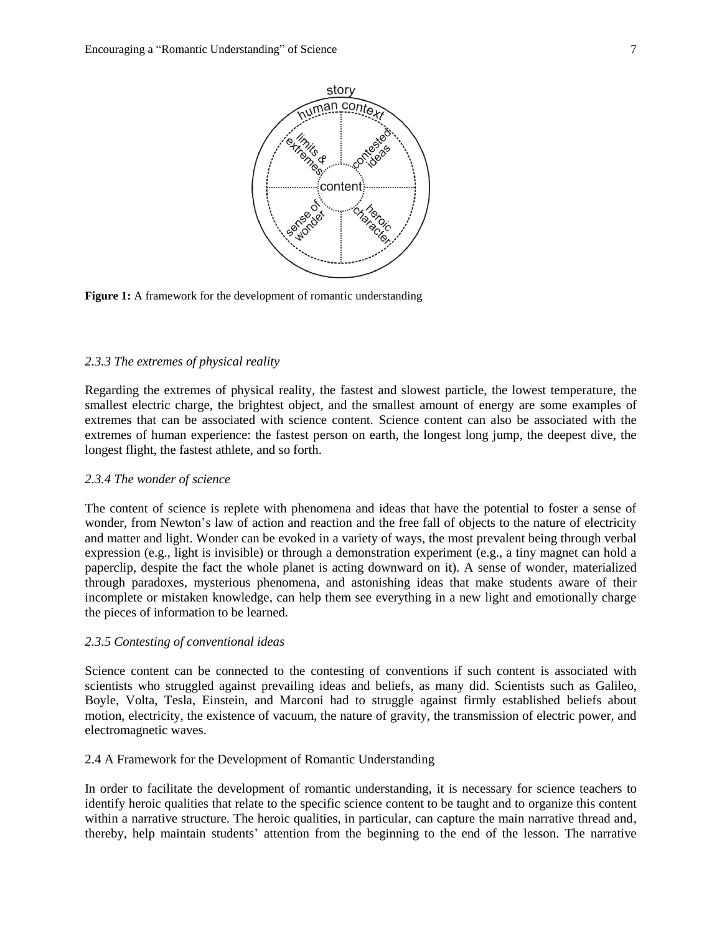

**Figure 1:** A framework for the development of romantic understanding

#### *2.3.3 The extremes of physical reality*

Regarding the extremes of physical reality, the fastest and slowest particle, the lowest temperature, the smallest electric charge, the brightest object, and the smallest amount of energy are some examples of extremes that can be associated with science content. Science content can also be associated with the extremes of human experience: the fastest person on earth, the longest long jump, the deepest dive, the longest flight, the fastest athlete, and so forth.

### *2.3.4 The wonder of science*

The content of science is replete with phenomena and ideas that have the potential to foster a sense of wonder, from Newton's law of action and reaction and the free fall of objects to the nature of electricity and matter and light. Wonder can be evoked in a variety of ways, the most prevalent being through verbal expression (e.g., light is invisible) or through a demonstration experiment (e.g., a tiny magnet can hold a paperclip, despite the fact the whole planet is acting downward on it). A sense of wonder, materialized through paradoxes, mysterious phenomena, and astonishing ideas that make students aware of their incomplete or mistaken knowledge, can help them see everything in a new light and emotionally charge the pieces of information to be learned.

### *2.3.5 Contesting of conventional ideas*

Science content can be connected to the contesting of conventions if such content is associated with scientists who struggled against prevailing ideas and beliefs, as many did. Scientists such as Galileo, Boyle, Volta, Tesla, Einstein, and Marconi had to struggle against firmly established beliefs about motion, electricity, the existence of vacuum, the nature of gravity, the transmission of electric power, and electromagnetic waves.

### 2.4 A Framework for the Development of Romantic Understanding

In order to facilitate the development of romantic understanding, it is necessary for science teachers to identify heroic qualities that relate to the specific science content to be taught and to organize this content within a narrative structure. The heroic qualities, in particular, can capture the main narrative thread and, thereby, help maintain students' attention from the beginning to the end of the lesson. The narrative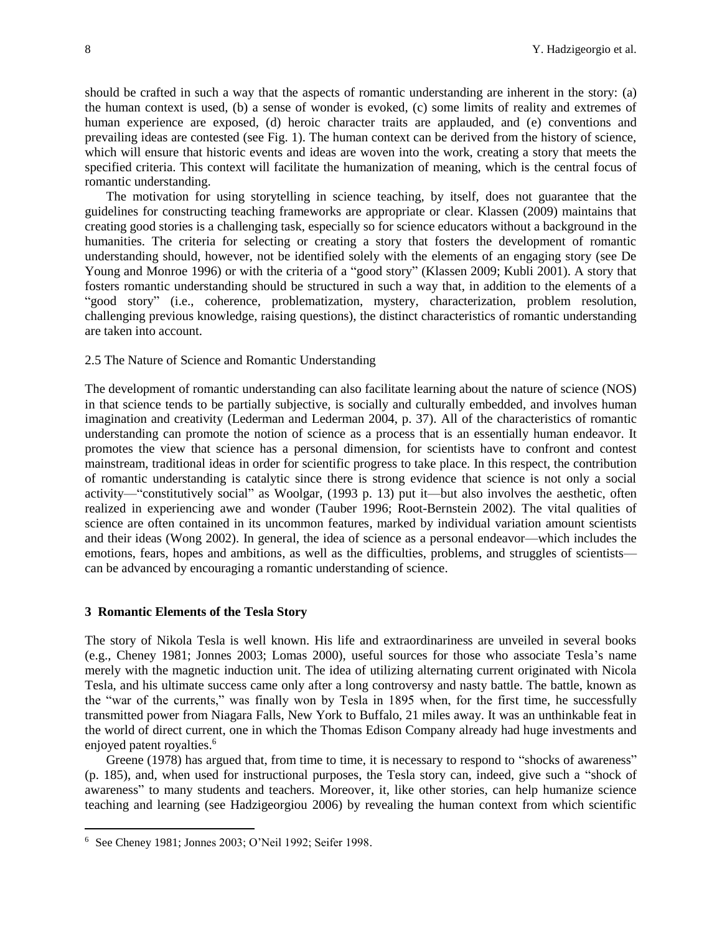should be crafted in such a way that the aspects of romantic understanding are inherent in the story: (a) the human context is used, (b) a sense of wonder is evoked, (c) some limits of reality and extremes of human experience are exposed, (d) heroic character traits are applauded, and (e) conventions and prevailing ideas are contested (see Fig. 1). The human context can be derived from the history of science, which will ensure that historic events and ideas are woven into the work, creating a story that meets the specified criteria. This context will facilitate the humanization of meaning, which is the central focus of romantic understanding.

The motivation for using storytelling in science teaching, by itself, does not guarantee that the guidelines for constructing teaching frameworks are appropriate or clear. Klassen (2009) maintains that creating good stories is a challenging task, especially so for science educators without a background in the humanities. The criteria for selecting or creating a story that fosters the development of romantic understanding should, however, not be identified solely with the elements of an engaging story (see De Young and Monroe 1996) or with the criteria of a "good story" (Klassen 2009; Kubli 2001). A story that fosters romantic understanding should be structured in such a way that, in addition to the elements of a "good story" (i.e., coherence, problematization, mystery, characterization, problem resolution, challenging previous knowledge, raising questions), the distinct characteristics of romantic understanding are taken into account.

### 2.5 The Nature of Science and Romantic Understanding

The development of romantic understanding can also facilitate learning about the nature of science (NOS) in that science tends to be partially subjective, is socially and culturally embedded, and involves human imagination and creativity (Lederman and Lederman 2004, p. 37). All of the characteristics of romantic understanding can promote the notion of science as a process that is an essentially human endeavor. It promotes the view that science has a personal dimension, for scientists have to confront and contest mainstream, traditional ideas in order for scientific progress to take place. In this respect, the contribution of romantic understanding is catalytic since there is strong evidence that science is not only a social activity—"constitutively social" as Woolgar, (1993 p. 13) put it—but also involves the aesthetic, often realized in experiencing awe and wonder (Tauber 1996; Root-Bernstein 2002). The vital qualities of science are often contained in its uncommon features, marked by individual variation amount scientists and their ideas (Wong 2002). In general, the idea of science as a personal endeavor—which includes the emotions, fears, hopes and ambitions, as well as the difficulties, problems, and struggles of scientists can be advanced by encouraging a romantic understanding of science.

### **3 Romantic Elements of the Tesla Story**

The story of Nikola Tesla is well known. His life and extraordinariness are unveiled in several books (e.g., Cheney 1981; Jonnes 2003; Lomas 2000), useful sources for those who associate Tesla's name merely with the magnetic induction unit. The idea of utilizing alternating current originated with Nicola Tesla, and his ultimate success came only after a long controversy and nasty battle. The battle, known as the "war of the currents," was finally won by Tesla in 1895 when, for the first time, he successfully transmitted power from Niagara Falls, New York to Buffalo, 21 miles away. It was an unthinkable feat in the world of direct current, one in which the Thomas Edison Company already had huge investments and enjoyed patent royalties.<sup>6</sup>

Greene (1978) has argued that, from time to time, it is necessary to respond to "shocks of awareness" (p. 185), and, when used for instructional purposes, the Tesla story can, indeed, give such a "shock of awareness" to many students and teachers. Moreover, it, like other stories, can help humanize science teaching and learning (see Hadzigeorgiou 2006) by revealing the human context from which scientific

 $\overline{a}$ 

<sup>6</sup> See Cheney 1981; Jonnes 2003; O'Neil 1992; Seifer 1998.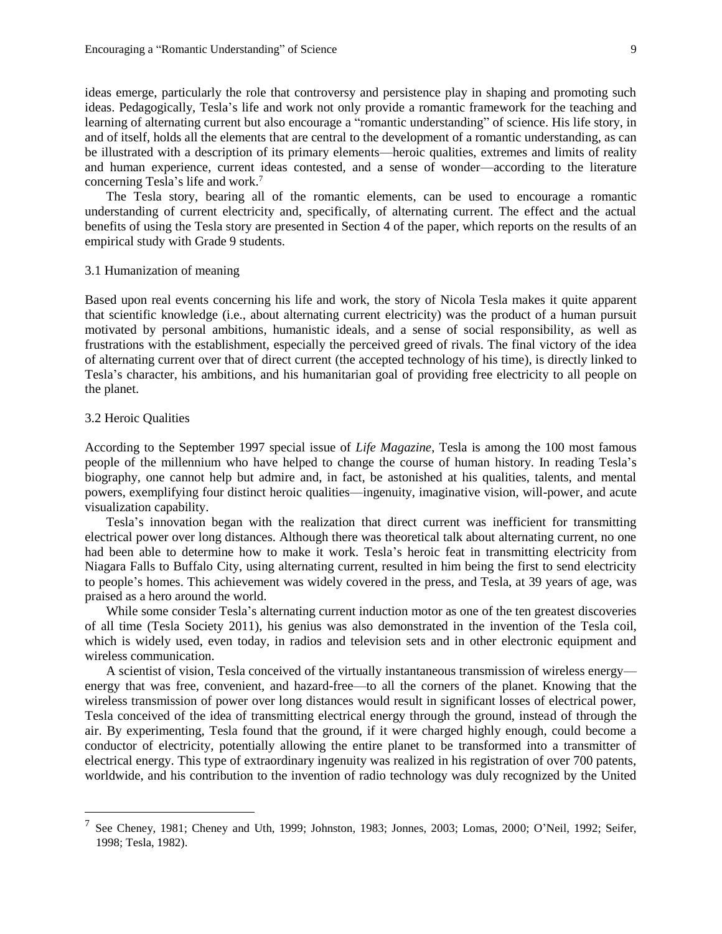ideas emerge, particularly the role that controversy and persistence play in shaping and promoting such ideas. Pedagogically, Tesla's life and work not only provide a romantic framework for the teaching and learning of alternating current but also encourage a "romantic understanding" of science. His life story, in and of itself, holds all the elements that are central to the development of a romantic understanding, as can be illustrated with a description of its primary elements—heroic qualities, extremes and limits of reality and human experience, current ideas contested, and a sense of wonder—according to the literature concerning Tesla's life and work. 7

The Tesla story, bearing all of the romantic elements, can be used to encourage a romantic understanding of current electricity and, specifically, of alternating current. The effect and the actual benefits of using the Tesla story are presented in Section 4 of the paper, which reports on the results of an empirical study with Grade 9 students.

### 3.1 Humanization of meaning

Based upon real events concerning his life and work, the story of Nicola Tesla makes it quite apparent that scientific knowledge (i.e., about alternating current electricity) was the product of a human pursuit motivated by personal ambitions, humanistic ideals, and a sense of social responsibility, as well as frustrations with the establishment, especially the perceived greed of rivals. The final victory of the idea of alternating current over that of direct current (the accepted technology of his time), is directly linked to Tesla's character, his ambitions, and his humanitarian goal of providing free electricity to all people on the planet.

### 3.2 Heroic Qualities

 $\overline{a}$ 

According to the September 1997 special issue of *Life Magazine*, Tesla is among the 100 most famous people of the millennium who have helped to change the course of human history. In reading Tesla's biography, one cannot help but admire and, in fact, be astonished at his qualities, talents, and mental powers, exemplifying four distinct heroic qualities—ingenuity, imaginative vision, will-power, and acute visualization capability.

Tesla's innovation began with the realization that direct current was inefficient for transmitting electrical power over long distances. Although there was theoretical talk about alternating current, no one had been able to determine how to make it work. Tesla's heroic feat in transmitting electricity from Niagara Falls to Buffalo City, using alternating current, resulted in him being the first to send electricity to people's homes. This achievement was widely covered in the press, and Tesla, at 39 years of age, was praised as a hero around the world.

While some consider Tesla's alternating current induction motor as one of the ten greatest discoveries of all time (Tesla Society 2011), his genius was also demonstrated in the invention of the Tesla coil, which is widely used, even today, in radios and television sets and in other electronic equipment and wireless communication.

A scientist of vision, Tesla conceived of the virtually instantaneous transmission of wireless energy energy that was free, convenient, and hazard-free—to all the corners of the planet. Knowing that the wireless transmission of power over long distances would result in significant losses of electrical power, Tesla conceived of the idea of transmitting electrical energy through the ground, instead of through the air. By experimenting, Tesla found that the ground, if it were charged highly enough, could become a conductor of electricity, potentially allowing the entire planet to be transformed into a transmitter of electrical energy. This type of extraordinary ingenuity was realized in his registration of over 700 patents, worldwide, and his contribution to the invention of radio technology was duly recognized by the United

<sup>&</sup>lt;sup>7</sup> See Cheney, 1981; Cheney and Uth, 1999; Johnston, 1983; Jonnes, 2003; Lomas, 2000; O'Neil, 1992; Seifer, 1998; Tesla, 1982).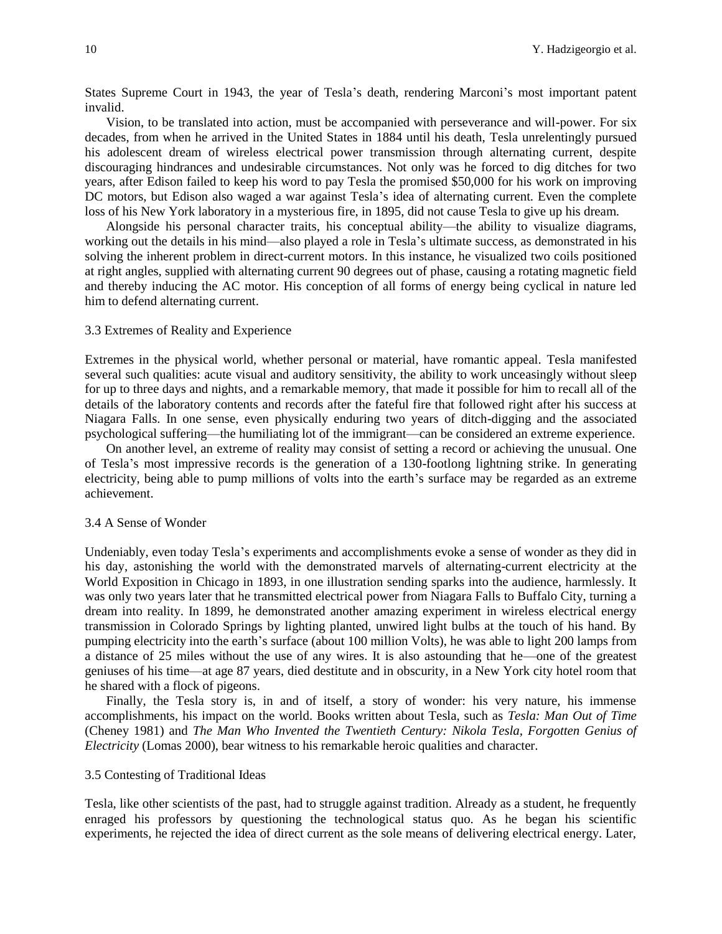States Supreme Court in 1943, the year of Tesla's death, rendering Marconi's most important patent invalid.

Vision, to be translated into action, must be accompanied with perseverance and will-power. For six decades, from when he arrived in the United States in 1884 until his death, Tesla unrelentingly pursued his adolescent dream of wireless electrical power transmission through alternating current, despite discouraging hindrances and undesirable circumstances. Not only was he forced to dig ditches for two years, after Edison failed to keep his word to pay Tesla the promised \$50,000 for his work on improving DC motors, but Edison also waged a war against Tesla's idea of alternating current. Even the complete loss of his New York laboratory in a mysterious fire, in 1895, did not cause Tesla to give up his dream.

Alongside his personal character traits, his conceptual ability—the ability to visualize diagrams, working out the details in his mind—also played a role in Tesla's ultimate success, as demonstrated in his solving the inherent problem in direct-current motors. In this instance, he visualized two coils positioned at right angles, supplied with alternating current 90 degrees out of phase, causing a rotating magnetic field and thereby inducing the AC motor. His conception of all forms of energy being cyclical in nature led him to defend alternating current.

### 3.3 Extremes of Reality and Experience

Extremes in the physical world, whether personal or material, have romantic appeal. Tesla manifested several such qualities: acute visual and auditory sensitivity, the ability to work unceasingly without sleep for up to three days and nights, and a remarkable memory, that made it possible for him to recall all of the details of the laboratory contents and records after the fateful fire that followed right after his success at Niagara Falls. In one sense, even physically enduring two years of ditch-digging and the associated psychological suffering—the humiliating lot of the immigrant—can be considered an extreme experience.

On another level, an extreme of reality may consist of setting a record or achieving the unusual. One of Tesla's most impressive records is the generation of a 130-footlong lightning strike. In generating electricity, being able to pump millions of volts into the earth's surface may be regarded as an extreme achievement.

### 3.4 A Sense of Wonder

Undeniably, even today Tesla's experiments and accomplishments evoke a sense of wonder as they did in his day, astonishing the world with the demonstrated marvels of alternating-current electricity at the World Exposition in Chicago in 1893, in one illustration sending sparks into the audience, harmlessly. It was only two years later that he transmitted electrical power from Niagara Falls to Buffalo City, turning a dream into reality. In 1899, he demonstrated another amazing experiment in wireless electrical energy transmission in Colorado Springs by lighting planted, unwired light bulbs at the touch of his hand. By pumping electricity into the earth's surface (about 100 million Volts), he was able to light 200 lamps from a distance of 25 miles without the use of any wires. It is also astounding that he—one of the greatest geniuses of his time—at age 87 years, died destitute and in obscurity, in a New York city hotel room that he shared with a flock of pigeons.

Finally, the Tesla story is, in and of itself, a story of wonder: his very nature, his immense accomplishments, his impact on the world. Books written about Tesla, such as *Tesla: Man Out of Time*  (Cheney 1981) and *The Man Who Invented the Twentieth Century: Nikola Tesla, Forgotten Genius of Electricity* (Lomas 2000), bear witness to his remarkable heroic qualities and character.

#### 3.5 Contesting of Traditional Ideas

Tesla, like other scientists of the past, had to struggle against tradition. Already as a student, he frequently enraged his professors by questioning the technological status quo. As he began his scientific experiments, he rejected the idea of direct current as the sole means of delivering electrical energy. Later,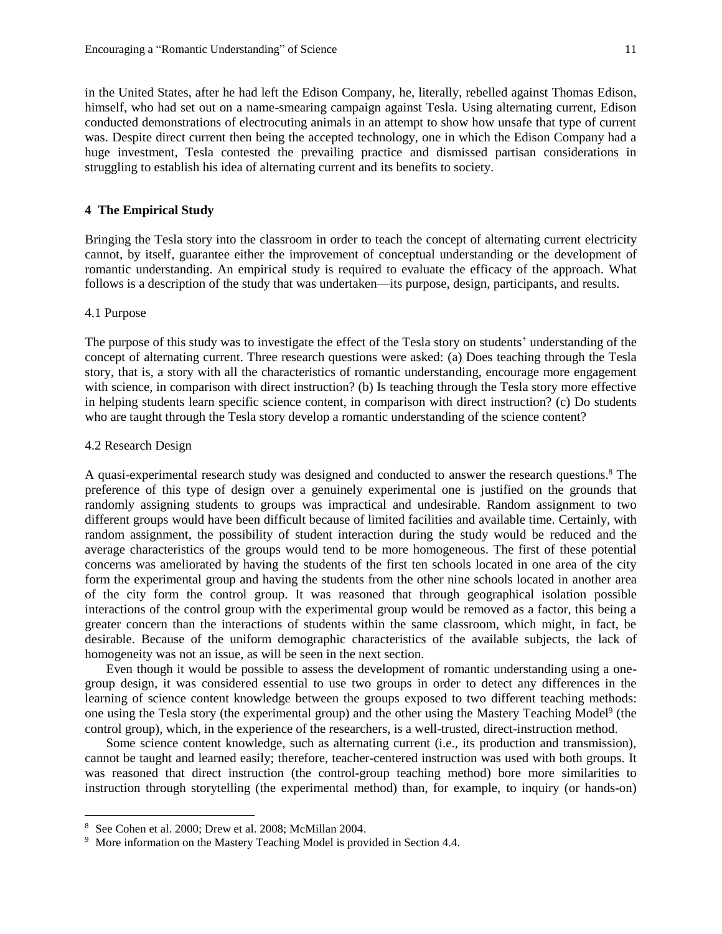in the United States, after he had left the Edison Company, he, literally, rebelled against Thomas Edison, himself, who had set out on a name-smearing campaign against Tesla. Using alternating current, Edison conducted demonstrations of electrocuting animals in an attempt to show how unsafe that type of current was. Despite direct current then being the accepted technology, one in which the Edison Company had a huge investment, Tesla contested the prevailing practice and dismissed partisan considerations in struggling to establish his idea of alternating current and its benefits to society.

### **4 The Empirical Study**

Bringing the Tesla story into the classroom in order to teach the concept of alternating current electricity cannot, by itself, guarantee either the improvement of conceptual understanding or the development of romantic understanding. An empirical study is required to evaluate the efficacy of the approach. What follows is a description of the study that was undertaken—its purpose, design, participants, and results.

# 4.1 Purpose

The purpose of this study was to investigate the effect of the Tesla story on students' understanding of the concept of alternating current. Three research questions were asked: (a) Does teaching through the Tesla story, that is, a story with all the characteristics of romantic understanding, encourage more engagement with science, in comparison with direct instruction? (b) Is teaching through the Tesla story more effective in helping students learn specific science content, in comparison with direct instruction? (c) Do students who are taught through the Tesla story develop a romantic understanding of the science content?

### 4.2 Research Design

 $\overline{a}$ 

A quasi-experimental research study was designed and conducted to answer the research questions. <sup>8</sup> The preference of this type of design over a genuinely experimental one is justified on the grounds that randomly assigning students to groups was impractical and undesirable. Random assignment to two different groups would have been difficult because of limited facilities and available time. Certainly, with random assignment, the possibility of student interaction during the study would be reduced and the average characteristics of the groups would tend to be more homogeneous. The first of these potential concerns was ameliorated by having the students of the first ten schools located in one area of the city form the experimental group and having the students from the other nine schools located in another area of the city form the control group. It was reasoned that through geographical isolation possible interactions of the control group with the experimental group would be removed as a factor, this being a greater concern than the interactions of students within the same classroom, which might, in fact, be desirable. Because of the uniform demographic characteristics of the available subjects, the lack of homogeneity was not an issue, as will be seen in the next section.

Even though it would be possible to assess the development of romantic understanding using a onegroup design, it was considered essential to use two groups in order to detect any differences in the learning of science content knowledge between the groups exposed to two different teaching methods: one using the Tesla story (the experimental group) and the other using the Mastery Teaching Model<sup>9</sup> (the control group), which, in the experience of the researchers, is a well-trusted, direct-instruction method.

Some science content knowledge, such as alternating current (i.e., its production and transmission), cannot be taught and learned easily; therefore, teacher-centered instruction was used with both groups. It was reasoned that direct instruction (the control-group teaching method) bore more similarities to instruction through storytelling (the experimental method) than, for example, to inquiry (or hands-on)

<sup>8</sup> See Cohen et al. 2000; Drew et al. 2008; McMillan 2004.

<sup>&</sup>lt;sup>9</sup> More information on the Mastery Teaching Model is provided in Section 4.4.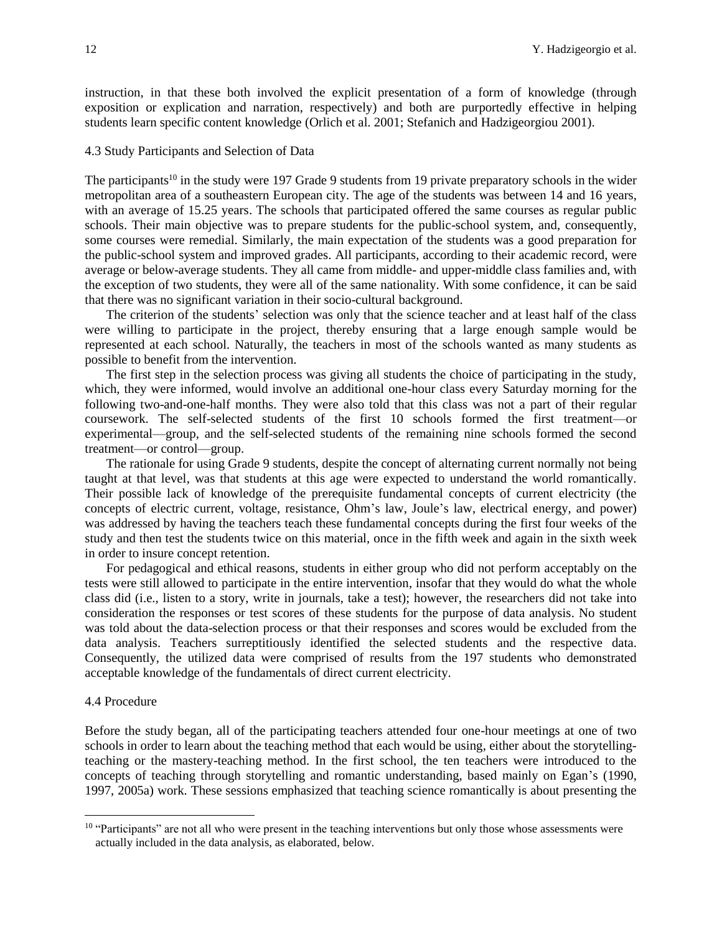instruction, in that these both involved the explicit presentation of a form of knowledge (through exposition or explication and narration, respectively) and both are purportedly effective in helping students learn specific content knowledge (Orlich et al. 2001; Stefanich and Hadzigeorgiou 2001).

# 4.3 Study Participants and Selection of Data

The participants<sup>10</sup> in the study were 197 Grade 9 students from 19 private preparatory schools in the wider metropolitan area of a southeastern European city. The age of the students was between 14 and 16 years, with an average of 15.25 years. The schools that participated offered the same courses as regular public schools. Their main objective was to prepare students for the public-school system, and, consequently, some courses were remedial. Similarly, the main expectation of the students was a good preparation for the public-school system and improved grades. All participants, according to their academic record, were average or below-average students. They all came from middle- and upper-middle class families and, with the exception of two students, they were all of the same nationality. With some confidence, it can be said that there was no significant variation in their socio-cultural background.

The criterion of the students' selection was only that the science teacher and at least half of the class were willing to participate in the project, thereby ensuring that a large enough sample would be represented at each school. Naturally, the teachers in most of the schools wanted as many students as possible to benefit from the intervention.

The first step in the selection process was giving all students the choice of participating in the study, which, they were informed, would involve an additional one-hour class every Saturday morning for the following two-and-one-half months. They were also told that this class was not a part of their regular coursework. The self-selected students of the first 10 schools formed the first treatment—or experimental—group, and the self-selected students of the remaining nine schools formed the second treatment—or control—group.

The rationale for using Grade 9 students, despite the concept of alternating current normally not being taught at that level, was that students at this age were expected to understand the world romantically. Their possible lack of knowledge of the prerequisite fundamental concepts of current electricity (the concepts of electric current, voltage, resistance, Ohm's law, Joule's law, electrical energy, and power) was addressed by having the teachers teach these fundamental concepts during the first four weeks of the study and then test the students twice on this material, once in the fifth week and again in the sixth week in order to insure concept retention.

For pedagogical and ethical reasons, students in either group who did not perform acceptably on the tests were still allowed to participate in the entire intervention, insofar that they would do what the whole class did (i.e., listen to a story, write in journals, take a test); however, the researchers did not take into consideration the responses or test scores of these students for the purpose of data analysis. No student was told about the data-selection process or that their responses and scores would be excluded from the data analysis. Teachers surreptitiously identified the selected students and the respective data. Consequently, the utilized data were comprised of results from the 197 students who demonstrated acceptable knowledge of the fundamentals of direct current electricity.

# 4.4 Procedure

 $\overline{a}$ 

Before the study began, all of the participating teachers attended four one-hour meetings at one of two schools in order to learn about the teaching method that each would be using, either about the storytellingteaching or the mastery-teaching method. In the first school, the ten teachers were introduced to the concepts of teaching through storytelling and romantic understanding, based mainly on Egan's (1990, 1997, 2005a) work. These sessions emphasized that teaching science romantically is about presenting the

<sup>&</sup>lt;sup>10</sup> "Participants" are not all who were present in the teaching interventions but only those whose assessments were actually included in the data analysis, as elaborated, below.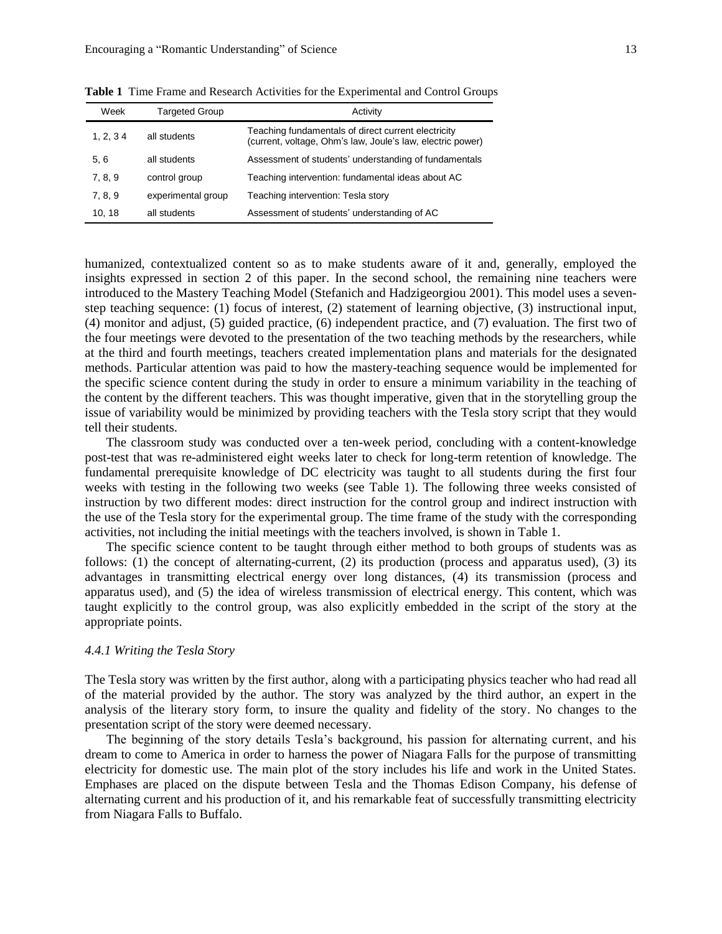| Week     | <b>Targeted Group</b> | Activity                                                                                                          |
|----------|-----------------------|-------------------------------------------------------------------------------------------------------------------|
| 1, 2, 34 | all students          | Teaching fundamentals of direct current electricity<br>(current, voltage, Ohm's law, Joule's law, electric power) |
| 5, 6     | all students          | Assessment of students' understanding of fundamentals                                                             |
| 7, 8, 9  | control group         | Teaching intervention: fundamental ideas about AC                                                                 |
| 7, 8, 9  | experimental group    | Teaching intervention: Tesla story                                                                                |
| 10, 18   | all students          | Assessment of students' understanding of AC                                                                       |

**Table 1** Time Frame and Research Activities for the Experimental and Control Groups

humanized, contextualized content so as to make students aware of it and, generally, employed the insights expressed in section 2 of this paper. In the second school, the remaining nine teachers were introduced to the Mastery Teaching Model (Stefanich and Hadzigeorgiou 2001). This model uses a sevenstep teaching sequence: (1) focus of interest, (2) statement of learning objective, (3) instructional input, (4) monitor and adjust, (5) guided practice, (6) independent practice, and (7) evaluation. The first two of the four meetings were devoted to the presentation of the two teaching methods by the researchers, while at the third and fourth meetings, teachers created implementation plans and materials for the designated methods. Particular attention was paid to how the mastery-teaching sequence would be implemented for the specific science content during the study in order to ensure a minimum variability in the teaching of the content by the different teachers. This was thought imperative, given that in the storytelling group the issue of variability would be minimized by providing teachers with the Tesla story script that they would tell their students.

The classroom study was conducted over a ten-week period, concluding with a content-knowledge post-test that was re-administered eight weeks later to check for long-term retention of knowledge. The fundamental prerequisite knowledge of DC electricity was taught to all students during the first four weeks with testing in the following two weeks (see Table 1). The following three weeks consisted of instruction by two different modes: direct instruction for the control group and indirect instruction with the use of the Tesla story for the experimental group. The time frame of the study with the corresponding activities, not including the initial meetings with the teachers involved, is shown in Table 1.

The specific science content to be taught through either method to both groups of students was as follows: (1) the concept of alternating-current, (2) its production (process and apparatus used), (3) its advantages in transmitting electrical energy over long distances, (4) its transmission (process and apparatus used), and (5) the idea of wireless transmission of electrical energy. This content, which was taught explicitly to the control group, was also explicitly embedded in the script of the story at the appropriate points.

### *4.4.1 Writing the Tesla Story*

The Tesla story was written by the first author, along with a participating physics teacher who had read all of the material provided by the author. The story was analyzed by the third author, an expert in the analysis of the literary story form, to insure the quality and fidelity of the story. No changes to the presentation script of the story were deemed necessary.

The beginning of the story details Tesla's background, his passion for alternating current, and his dream to come to America in order to harness the power of Niagara Falls for the purpose of transmitting electricity for domestic use. The main plot of the story includes his life and work in the United States. Emphases are placed on the dispute between Tesla and the Thomas Edison Company, his defense of alternating current and his production of it, and his remarkable feat of successfully transmitting electricity from Niagara Falls to Buffalo.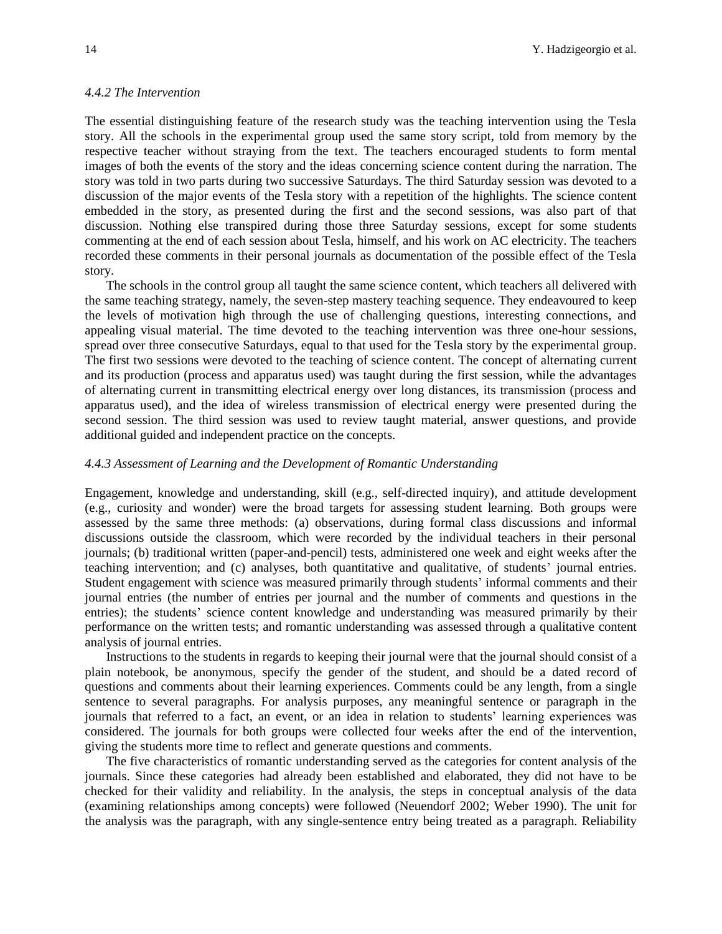# *4.4.2 The Intervention*

The essential distinguishing feature of the research study was the teaching intervention using the Tesla story. All the schools in the experimental group used the same story script, told from memory by the respective teacher without straying from the text. The teachers encouraged students to form mental images of both the events of the story and the ideas concerning science content during the narration. The story was told in two parts during two successive Saturdays. The third Saturday session was devoted to a discussion of the major events of the Tesla story with a repetition of the highlights. The science content embedded in the story, as presented during the first and the second sessions, was also part of that discussion. Nothing else transpired during those three Saturday sessions, except for some students commenting at the end of each session about Tesla, himself, and his work on AC electricity. The teachers recorded these comments in their personal journals as documentation of the possible effect of the Tesla story.

The schools in the control group all taught the same science content, which teachers all delivered with the same teaching strategy, namely, the seven-step mastery teaching sequence. They endeavoured to keep the levels of motivation high through the use of challenging questions, interesting connections, and appealing visual material. The time devoted to the teaching intervention was three one-hour sessions, spread over three consecutive Saturdays, equal to that used for the Tesla story by the experimental group. The first two sessions were devoted to the teaching of science content. The concept of alternating current and its production (process and apparatus used) was taught during the first session, while the advantages of alternating current in transmitting electrical energy over long distances, its transmission (process and apparatus used), and the idea of wireless transmission of electrical energy were presented during the second session. The third session was used to review taught material, answer questions, and provide additional guided and independent practice on the concepts.

### *4.4.3 Assessment of Learning and the Development of Romantic Understanding*

Engagement, knowledge and understanding, skill (e.g., self-directed inquiry), and attitude development (e.g., curiosity and wonder) were the broad targets for assessing student learning. Both groups were assessed by the same three methods: (a) observations, during formal class discussions and informal discussions outside the classroom, which were recorded by the individual teachers in their personal journals; (b) traditional written (paper-and-pencil) tests, administered one week and eight weeks after the teaching intervention; and (c) analyses, both quantitative and qualitative, of students' journal entries. Student engagement with science was measured primarily through students' informal comments and their journal entries (the number of entries per journal and the number of comments and questions in the entries); the students' science content knowledge and understanding was measured primarily by their performance on the written tests; and romantic understanding was assessed through a qualitative content analysis of journal entries.

Instructions to the students in regards to keeping their journal were that the journal should consist of a plain notebook, be anonymous, specify the gender of the student, and should be a dated record of questions and comments about their learning experiences. Comments could be any length, from a single sentence to several paragraphs. For analysis purposes, any meaningful sentence or paragraph in the journals that referred to a fact, an event, or an idea in relation to students' learning experiences was considered. The journals for both groups were collected four weeks after the end of the intervention, giving the students more time to reflect and generate questions and comments.

The five characteristics of romantic understanding served as the categories for content analysis of the journals. Since these categories had already been established and elaborated, they did not have to be checked for their validity and reliability. In the analysis, the steps in conceptual analysis of the data (examining relationships among concepts) were followed (Neuendorf 2002; Weber 1990). The unit for the analysis was the paragraph, with any single-sentence entry being treated as a paragraph. Reliability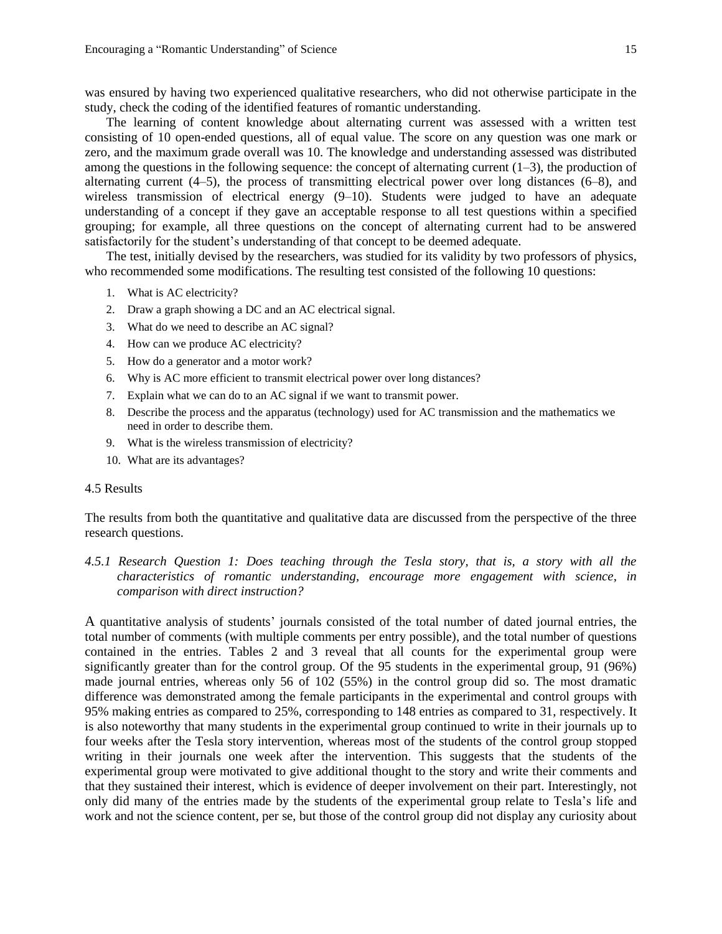was ensured by having two experienced qualitative researchers, who did not otherwise participate in the study, check the coding of the identified features of romantic understanding.

The learning of content knowledge about alternating current was assessed with a written test consisting of 10 open-ended questions, all of equal value. The score on any question was one mark or zero, and the maximum grade overall was 10. The knowledge and understanding assessed was distributed among the questions in the following sequence: the concept of alternating current  $(1-3)$ , the production of alternating current (4–5), the process of transmitting electrical power over long distances (6–8), and wireless transmission of electrical energy (9–10). Students were judged to have an adequate understanding of a concept if they gave an acceptable response to all test questions within a specified grouping; for example, all three questions on the concept of alternating current had to be answered satisfactorily for the student's understanding of that concept to be deemed adequate.

The test, initially devised by the researchers, was studied for its validity by two professors of physics, who recommended some modifications. The resulting test consisted of the following 10 questions:

- 1. What is AC electricity?
- 2. Draw a graph showing a DC and an AC electrical signal.
- 3. What do we need to describe an AC signal?
- 4. How can we produce AC electricity?
- 5. How do a generator and a motor work?
- 6. Why is AC more efficient to transmit electrical power over long distances?
- 7. Explain what we can do to an AC signal if we want to transmit power.
- 8. Describe the process and the apparatus (technology) used for AC transmission and the mathematics we need in order to describe them.
- 9. What is the wireless transmission of electricity?
- 10. What are its advantages?

### 4.5 Results

The results from both the quantitative and qualitative data are discussed from the perspective of the three research questions.

*4.5.1 Research Question 1: Does teaching through the Tesla story, that is, a story with all the characteristics of romantic understanding, encourage more engagement with science, in comparison with direct instruction?*

A quantitative analysis of students' journals consisted of the total number of dated journal entries, the total number of comments (with multiple comments per entry possible), and the total number of questions contained in the entries. Tables 2 and 3 reveal that all counts for the experimental group were significantly greater than for the control group. Of the 95 students in the experimental group, 91 (96%) made journal entries, whereas only 56 of 102 (55%) in the control group did so. The most dramatic difference was demonstrated among the female participants in the experimental and control groups with 95% making entries as compared to 25%, corresponding to 148 entries as compared to 31, respectively. It is also noteworthy that many students in the experimental group continued to write in their journals up to four weeks after the Tesla story intervention, whereas most of the students of the control group stopped writing in their journals one week after the intervention. This suggests that the students of the experimental group were motivated to give additional thought to the story and write their comments and that they sustained their interest, which is evidence of deeper involvement on their part. Interestingly, not only did many of the entries made by the students of the experimental group relate to Tesla's life and work and not the science content, per se, but those of the control group did not display any curiosity about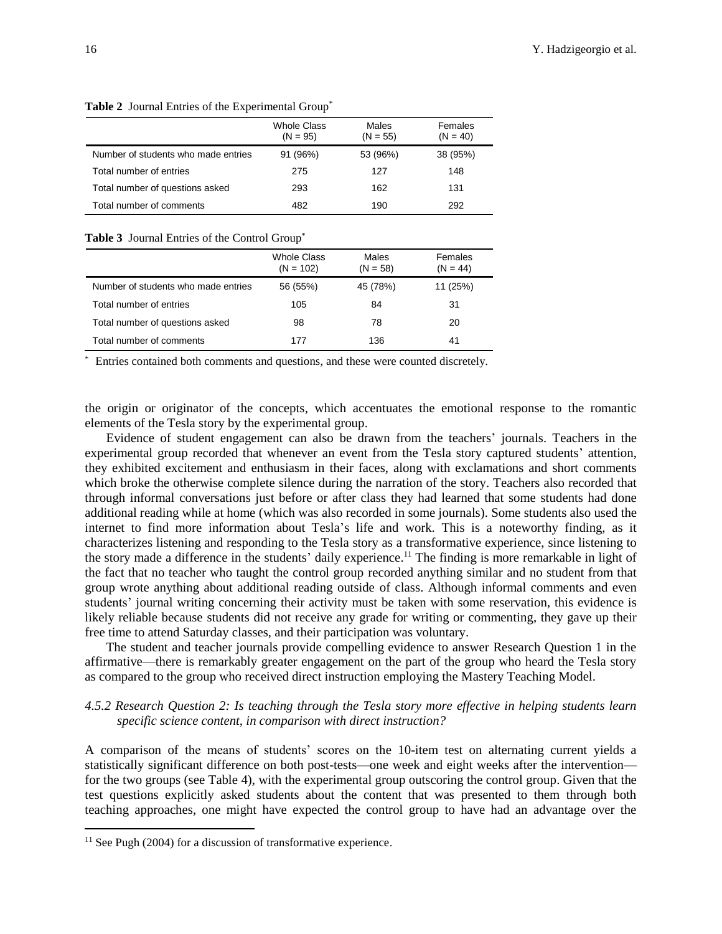#### **Table 2** Journal Entries of the Experimental Group\*

|                                     | <b>Whole Class</b><br>$(N = 95)$ | Males<br>$(N = 55)$ | Females<br>$(N = 40)$ |
|-------------------------------------|----------------------------------|---------------------|-----------------------|
| Number of students who made entries | 91 (96%)                         | 53 (96%)            | 38 (95%)              |
| Total number of entries             | 275                              | 127                 | 148                   |
| Total number of questions asked     | 293                              | 162                 | 131                   |
| Total number of comments            | 482                              | 190                 | 292                   |

### **Table 3** Journal Entries of the Control Group\*

|                                     | <b>Whole Class</b><br>$(N = 102)$ | Males<br>$(N = 58)$ | Females<br>$(N = 44)$ |
|-------------------------------------|-----------------------------------|---------------------|-----------------------|
| Number of students who made entries | 56 (55%)                          | 45 (78%)            | 11 (25%)              |
| Total number of entries             | 105                               | 84                  | 31                    |
| Total number of questions asked     | 98                                | 78                  | 20                    |
| Total number of comments            | 177                               | 136                 | 41                    |

\* Entries contained both comments and questions, and these were counted discretely.

the origin or originator of the concepts, which accentuates the emotional response to the romantic elements of the Tesla story by the experimental group.

Evidence of student engagement can also be drawn from the teachers' journals. Teachers in the experimental group recorded that whenever an event from the Tesla story captured students' attention, they exhibited excitement and enthusiasm in their faces, along with exclamations and short comments which broke the otherwise complete silence during the narration of the story. Teachers also recorded that through informal conversations just before or after class they had learned that some students had done additional reading while at home (which was also recorded in some journals). Some students also used the internet to find more information about Tesla's life and work. This is a noteworthy finding, as it characterizes listening and responding to the Tesla story as a transformative experience, since listening to the story made a difference in the students' daily experience.<sup>11</sup> The finding is more remarkable in light of the fact that no teacher who taught the control group recorded anything similar and no student from that group wrote anything about additional reading outside of class. Although informal comments and even students' journal writing concerning their activity must be taken with some reservation, this evidence is likely reliable because students did not receive any grade for writing or commenting, they gave up their free time to attend Saturday classes, and their participation was voluntary.

The student and teacher journals provide compelling evidence to answer Research Question 1 in the affirmative—there is remarkably greater engagement on the part of the group who heard the Tesla story as compared to the group who received direct instruction employing the Mastery Teaching Model.

# *4.5.2 Research Question 2: Is teaching through the Tesla story more effective in helping students learn specific science content, in comparison with direct instruction?*

A comparison of the means of students' scores on the 10-item test on alternating current yields a statistically significant difference on both post-tests—one week and eight weeks after the intervention for the two groups (see Table 4), with the experimental group outscoring the control group. Given that the test questions explicitly asked students about the content that was presented to them through both teaching approaches, one might have expected the control group to have had an advantage over the

 $\overline{a}$ 

 $11$  See Pugh (2004) for a discussion of transformative experience.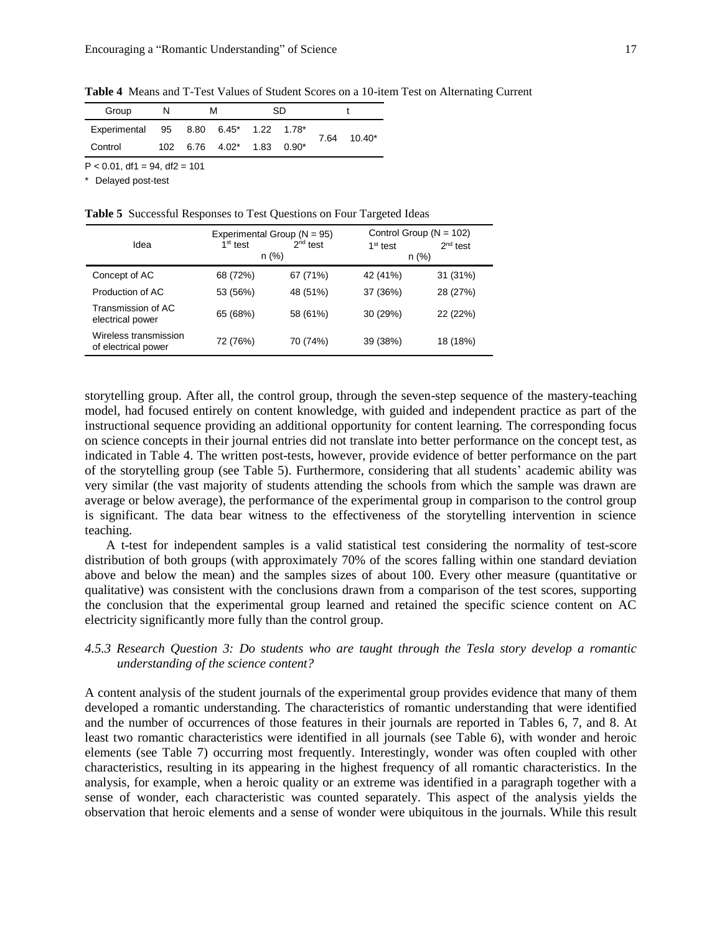**Table 4** Means and T-Test Values of Student Scores on a 10-item Test on Alternating Current

| Group                                 | N | м |                                   | SD |  |      |          |
|---------------------------------------|---|---|-----------------------------------|----|--|------|----------|
| Experimental 95 8.80 6.45* 1.22 1.78* |   |   |                                   |    |  | 7.64 | $10.40*$ |
| Control                               |   |   | $102$ 6.76 $4.02^*$ 1.83 $0.90^*$ |    |  |      |          |
| $P < 0.01$ , df1 = 94, df2 = 101      |   |   |                                   |    |  |      |          |

\* Delayed post-test

**Table 5** Successful Responses to Test Questions on Four Targeted Ideas

| Idea                                         | Experimental Group ( $N = 95$ )<br>$1st$ test | $2nd$ test | Control Group ( $N = 102$ ) |                        |  |
|----------------------------------------------|-----------------------------------------------|------------|-----------------------------|------------------------|--|
|                                              | $n (\%)$                                      |            | $1st$ test                  | $2nd$ test<br>$n (\%)$ |  |
| Concept of AC                                | 68 (72%)                                      | 67 (71%)   | 42 (41%)                    | 31 (31%)               |  |
| Production of AC                             | 53 (56%)                                      | 48 (51%)   | 37 (36%)                    | 28 (27%)               |  |
| Transmission of AC<br>electrical power       | 65 (68%)                                      | 58 (61%)   | 30 (29%)                    | 22 (22%)               |  |
| Wireless transmission<br>of electrical power | 72 (76%)                                      | 70 (74%)   | 39 (38%)                    | 18 (18%)               |  |

storytelling group. After all, the control group, through the seven-step sequence of the mastery-teaching model, had focused entirely on content knowledge, with guided and independent practice as part of the instructional sequence providing an additional opportunity for content learning. The corresponding focus on science concepts in their journal entries did not translate into better performance on the concept test, as indicated in Table 4. The written post-tests, however, provide evidence of better performance on the part of the storytelling group (see Table 5). Furthermore, considering that all students' academic ability was very similar (the vast majority of students attending the schools from which the sample was drawn are average or below average), the performance of the experimental group in comparison to the control group is significant. The data bear witness to the effectiveness of the storytelling intervention in science teaching.

A t-test for independent samples is a valid statistical test considering the normality of test-score distribution of both groups (with approximately 70% of the scores falling within one standard deviation above and below the mean) and the samples sizes of about 100. Every other measure (quantitative or qualitative) was consistent with the conclusions drawn from a comparison of the test scores, supporting the conclusion that the experimental group learned and retained the specific science content on AC electricity significantly more fully than the control group.

# *4.5.3 Research Question 3: Do students who are taught through the Tesla story develop a romantic understanding of the science content?*

A content analysis of the student journals of the experimental group provides evidence that many of them developed a romantic understanding. The characteristics of romantic understanding that were identified and the number of occurrences of those features in their journals are reported in Tables 6, 7, and 8. At least two romantic characteristics were identified in all journals (see Table 6), with wonder and heroic elements (see Table 7) occurring most frequently. Interestingly, wonder was often coupled with other characteristics, resulting in its appearing in the highest frequency of all romantic characteristics. In the analysis, for example, when a heroic quality or an extreme was identified in a paragraph together with a sense of wonder, each characteristic was counted separately. This aspect of the analysis yields the observation that heroic elements and a sense of wonder were ubiquitous in the journals. While this result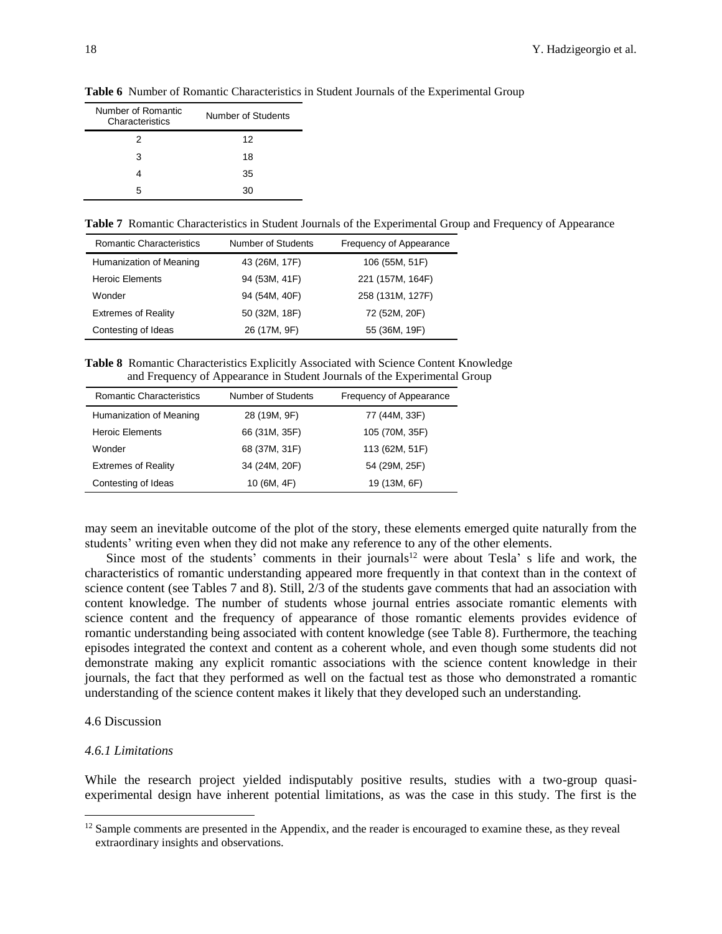| Number of Romantic<br>Characteristics | Number of Students |  |
|---------------------------------------|--------------------|--|
| 2                                     | 12                 |  |
| 3                                     | 18                 |  |
|                                       | 35                 |  |
| 5                                     | 30                 |  |

**Table 6** Number of Romantic Characteristics in Student Journals of the Experimental Group

**Table 7** Romantic Characteristics in Student Journals of the Experimental Group and Frequency of Appearance

| <b>Romantic Characteristics</b> | Number of Students | Frequency of Appearance |  |
|---------------------------------|--------------------|-------------------------|--|
| Humanization of Meaning         | 43 (26M, 17F)      | 106 (55M, 51F)          |  |
| <b>Heroic Elements</b>          | 94 (53M, 41F)      | 221 (157M, 164F)        |  |
| Wonder                          | 94 (54M, 40F)      | 258 (131M, 127F)        |  |
| <b>Extremes of Reality</b>      | 50 (32M, 18F)      | 72 (52M, 20F)           |  |
| Contesting of Ideas             | 26 (17M, 9F)       | 55 (36M, 19F)           |  |

**Table 8** Romantic Characteristics Explicitly Associated with Science Content Knowledge and Frequency of Appearance in Student Journals of the Experimental Group

| <b>Romantic Characteristics</b> | <b>Number of Students</b> | Frequency of Appearance |
|---------------------------------|---------------------------|-------------------------|
| Humanization of Meaning         | 28 (19M, 9F)              | 77 (44M, 33F)           |
| <b>Heroic Elements</b>          | 66 (31M, 35F)             | 105 (70M, 35F)          |
| Wonder                          | 68 (37M, 31F)             | 113 (62M, 51F)          |
| <b>Extremes of Reality</b>      | 34 (24M, 20F)             | 54 (29M, 25F)           |
| Contesting of Ideas             | 10 (6M, 4F)               | 19 (13M, 6F)            |

may seem an inevitable outcome of the plot of the story, these elements emerged quite naturally from the students' writing even when they did not make any reference to any of the other elements.

Since most of the students' comments in their journals<sup>12</sup> were about Tesla' s life and work, the characteristics of romantic understanding appeared more frequently in that context than in the context of science content (see Tables 7 and 8). Still, 2/3 of the students gave comments that had an association with content knowledge. The number of students whose journal entries associate romantic elements with science content and the frequency of appearance of those romantic elements provides evidence of romantic understanding being associated with content knowledge (see Table 8). Furthermore, the teaching episodes integrated the context and content as a coherent whole, and even though some students did not demonstrate making any explicit romantic associations with the science content knowledge in their journals, the fact that they performed as well on the factual test as those who demonstrated a romantic understanding of the science content makes it likely that they developed such an understanding.

### 4.6 Discussion

 $\overline{a}$ 

### *4.6.1 Limitations*

While the research project yielded indisputably positive results, studies with a two-group quasiexperimental design have inherent potential limitations, as was the case in this study. The first is the

<sup>&</sup>lt;sup>12</sup> Sample comments are presented in the Appendix, and the reader is encouraged to examine these, as they reveal extraordinary insights and observations.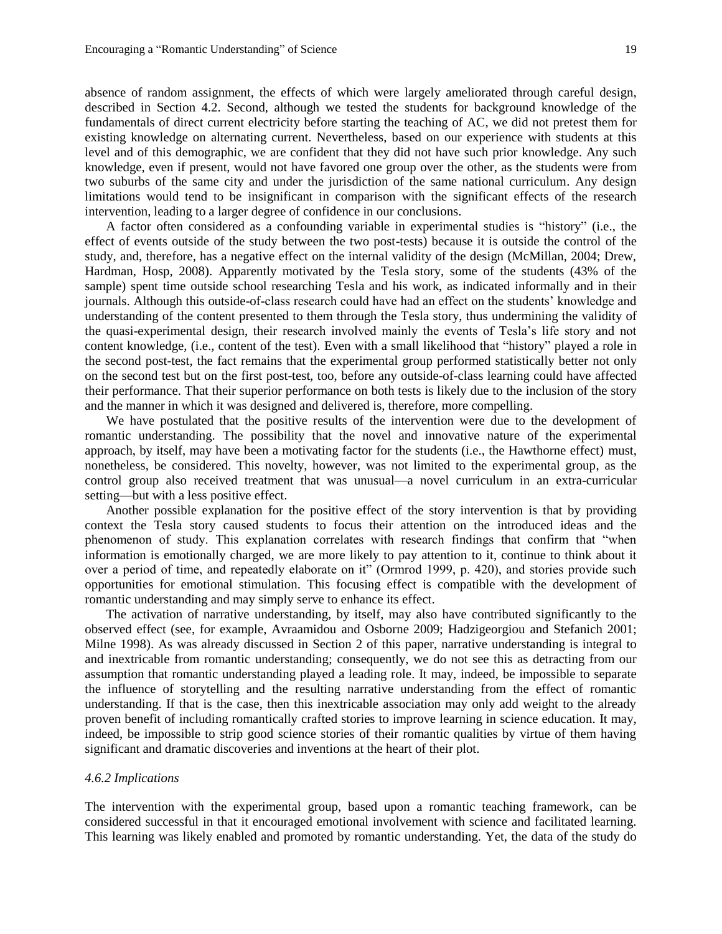absence of random assignment, the effects of which were largely ameliorated through careful design, described in Section 4.2. Second, although we tested the students for background knowledge of the fundamentals of direct current electricity before starting the teaching of AC, we did not pretest them for existing knowledge on alternating current. Nevertheless, based on our experience with students at this level and of this demographic, we are confident that they did not have such prior knowledge. Any such knowledge, even if present, would not have favored one group over the other, as the students were from two suburbs of the same city and under the jurisdiction of the same national curriculum. Any design limitations would tend to be insignificant in comparison with the significant effects of the research intervention, leading to a larger degree of confidence in our conclusions.

A factor often considered as a confounding variable in experimental studies is "history" (i.e., the effect of events outside of the study between the two post-tests) because it is outside the control of the study, and, therefore, has a negative effect on the internal validity of the design (McMillan, 2004; Drew, Hardman, Hosp, 2008). Apparently motivated by the Tesla story, some of the students (43% of the sample) spent time outside school researching Tesla and his work, as indicated informally and in their journals. Although this outside-of-class research could have had an effect on the students' knowledge and understanding of the content presented to them through the Tesla story, thus undermining the validity of the quasi-experimental design, their research involved mainly the events of Tesla's life story and not content knowledge, (i.e., content of the test). Even with a small likelihood that "history" played a role in the second post-test, the fact remains that the experimental group performed statistically better not only on the second test but on the first post-test, too, before any outside-of-class learning could have affected their performance. That their superior performance on both tests is likely due to the inclusion of the story and the manner in which it was designed and delivered is, therefore, more compelling.

We have postulated that the positive results of the intervention were due to the development of romantic understanding. The possibility that the novel and innovative nature of the experimental approach, by itself, may have been a motivating factor for the students (i.e., the Hawthorne effect) must, nonetheless, be considered. This novelty, however, was not limited to the experimental group, as the control group also received treatment that was unusual—a novel curriculum in an extra-curricular setting—but with a less positive effect.

Another possible explanation for the positive effect of the story intervention is that by providing context the Tesla story caused students to focus their attention on the introduced ideas and the phenomenon of study. This explanation correlates with research findings that confirm that "when information is emotionally charged, we are more likely to pay attention to it, continue to think about it over a period of time, and repeatedly elaborate on it" (Ormrod 1999, p. 420), and stories provide such opportunities for emotional stimulation. This focusing effect is compatible with the development of romantic understanding and may simply serve to enhance its effect.

The activation of narrative understanding, by itself, may also have contributed significantly to the observed effect (see, for example, Avraamidou and Osborne 2009; Hadzigeorgiou and Stefanich 2001; Milne 1998). As was already discussed in Section 2 of this paper, narrative understanding is integral to and inextricable from romantic understanding; consequently, we do not see this as detracting from our assumption that romantic understanding played a leading role. It may, indeed, be impossible to separate the influence of storytelling and the resulting narrative understanding from the effect of romantic understanding. If that is the case, then this inextricable association may only add weight to the already proven benefit of including romantically crafted stories to improve learning in science education. It may, indeed, be impossible to strip good science stories of their romantic qualities by virtue of them having significant and dramatic discoveries and inventions at the heart of their plot.

### *4.6.2 Implications*

The intervention with the experimental group, based upon a romantic teaching framework, can be considered successful in that it encouraged emotional involvement with science and facilitated learning. This learning was likely enabled and promoted by romantic understanding. Yet, the data of the study do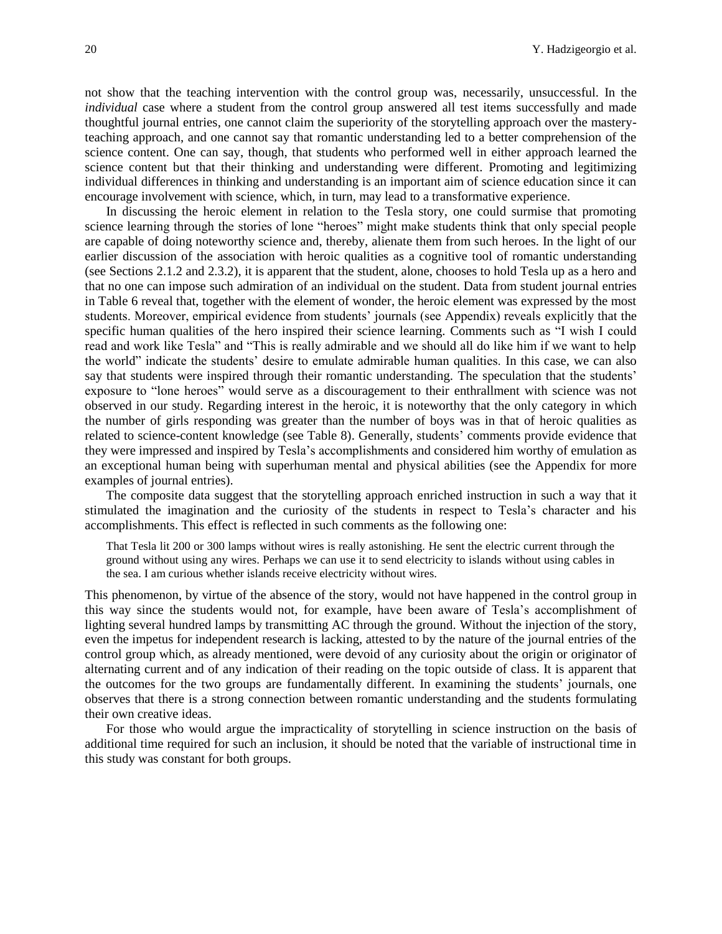not show that the teaching intervention with the control group was, necessarily, unsuccessful. In the *individual* case where a student from the control group answered all test items successfully and made thoughtful journal entries, one cannot claim the superiority of the storytelling approach over the masteryteaching approach, and one cannot say that romantic understanding led to a better comprehension of the science content. One can say, though, that students who performed well in either approach learned the science content but that their thinking and understanding were different. Promoting and legitimizing individual differences in thinking and understanding is an important aim of science education since it can encourage involvement with science, which, in turn, may lead to a transformative experience.

In discussing the heroic element in relation to the Tesla story, one could surmise that promoting science learning through the stories of lone "heroes" might make students think that only special people are capable of doing noteworthy science and, thereby, alienate them from such heroes. In the light of our earlier discussion of the association with heroic qualities as a cognitive tool of romantic understanding (see Sections 2.1.2 and 2.3.2), it is apparent that the student, alone, chooses to hold Tesla up as a hero and that no one can impose such admiration of an individual on the student. Data from student journal entries in Table 6 reveal that, together with the element of wonder, the heroic element was expressed by the most students. Moreover, empirical evidence from students' journals (see Appendix) reveals explicitly that the specific human qualities of the hero inspired their science learning. Comments such as "I wish I could read and work like Tesla" and "This is really admirable and we should all do like him if we want to help the world" indicate the students' desire to emulate admirable human qualities. In this case, we can also say that students were inspired through their romantic understanding. The speculation that the students' exposure to "lone heroes" would serve as a discouragement to their enthrallment with science was not observed in our study. Regarding interest in the heroic, it is noteworthy that the only category in which the number of girls responding was greater than the number of boys was in that of heroic qualities as related to science-content knowledge (see Table 8). Generally, students' comments provide evidence that they were impressed and inspired by Tesla's accomplishments and considered him worthy of emulation as an exceptional human being with superhuman mental and physical abilities (see the Appendix for more examples of journal entries).

The composite data suggest that the storytelling approach enriched instruction in such a way that it stimulated the imagination and the curiosity of the students in respect to Tesla's character and his accomplishments. This effect is reflected in such comments as the following one:

That Tesla lit 200 or 300 lamps without wires is really astonishing. He sent the electric current through the ground without using any wires. Perhaps we can use it to send electricity to islands without using cables in the sea. I am curious whether islands receive electricity without wires.

This phenomenon, by virtue of the absence of the story, would not have happened in the control group in this way since the students would not, for example, have been aware of Tesla's accomplishment of lighting several hundred lamps by transmitting AC through the ground. Without the injection of the story, even the impetus for independent research is lacking, attested to by the nature of the journal entries of the control group which, as already mentioned, were devoid of any curiosity about the origin or originator of alternating current and of any indication of their reading on the topic outside of class. It is apparent that the outcomes for the two groups are fundamentally different. In examining the students' journals, one observes that there is a strong connection between romantic understanding and the students formulating their own creative ideas.

For those who would argue the impracticality of storytelling in science instruction on the basis of additional time required for such an inclusion, it should be noted that the variable of instructional time in this study was constant for both groups.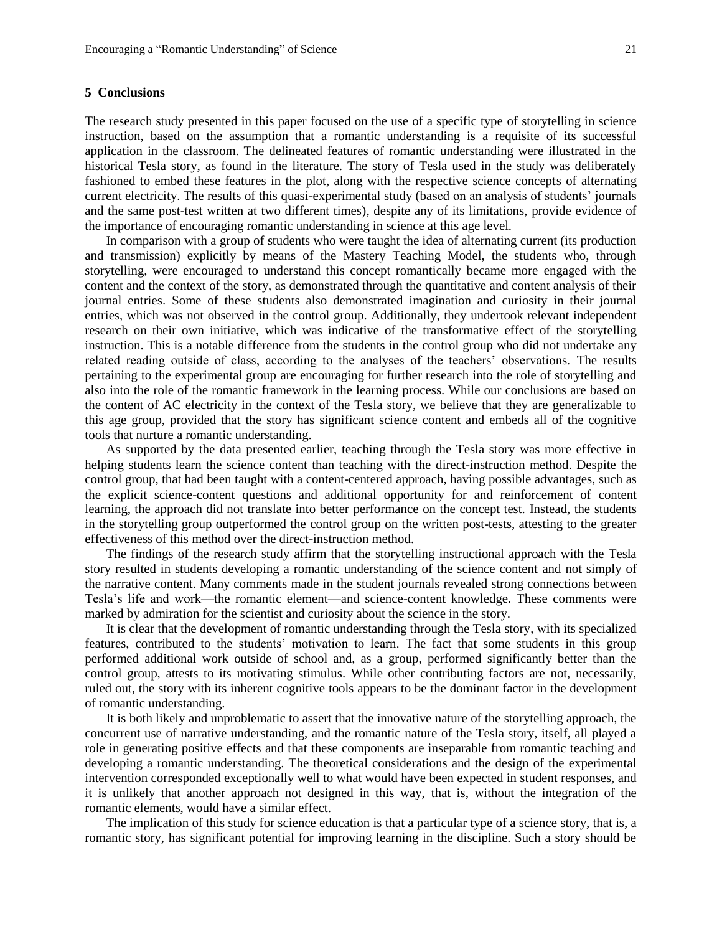### **5 Conclusions**

The research study presented in this paper focused on the use of a specific type of storytelling in science instruction, based on the assumption that a romantic understanding is a requisite of its successful application in the classroom. The delineated features of romantic understanding were illustrated in the historical Tesla story, as found in the literature. The story of Tesla used in the study was deliberately fashioned to embed these features in the plot, along with the respective science concepts of alternating current electricity. The results of this quasi-experimental study (based on an analysis of students' journals and the same post-test written at two different times), despite any of its limitations, provide evidence of the importance of encouraging romantic understanding in science at this age level.

In comparison with a group of students who were taught the idea of alternating current (its production and transmission) explicitly by means of the Mastery Teaching Model, the students who, through storytelling, were encouraged to understand this concept romantically became more engaged with the content and the context of the story, as demonstrated through the quantitative and content analysis of their journal entries. Some of these students also demonstrated imagination and curiosity in their journal entries, which was not observed in the control group. Additionally, they undertook relevant independent research on their own initiative, which was indicative of the transformative effect of the storytelling instruction. This is a notable difference from the students in the control group who did not undertake any related reading outside of class, according to the analyses of the teachers' observations. The results pertaining to the experimental group are encouraging for further research into the role of storytelling and also into the role of the romantic framework in the learning process. While our conclusions are based on the content of AC electricity in the context of the Tesla story, we believe that they are generalizable to this age group, provided that the story has significant science content and embeds all of the cognitive tools that nurture a romantic understanding.

As supported by the data presented earlier, teaching through the Tesla story was more effective in helping students learn the science content than teaching with the direct-instruction method. Despite the control group, that had been taught with a content-centered approach, having possible advantages, such as the explicit science-content questions and additional opportunity for and reinforcement of content learning, the approach did not translate into better performance on the concept test. Instead, the students in the storytelling group outperformed the control group on the written post-tests, attesting to the greater effectiveness of this method over the direct-instruction method.

The findings of the research study affirm that the storytelling instructional approach with the Tesla story resulted in students developing a romantic understanding of the science content and not simply of the narrative content. Many comments made in the student journals revealed strong connections between Tesla's life and work—the romantic element—and science-content knowledge. These comments were marked by admiration for the scientist and curiosity about the science in the story.

It is clear that the development of romantic understanding through the Tesla story, with its specialized features, contributed to the students' motivation to learn. The fact that some students in this group performed additional work outside of school and, as a group, performed significantly better than the control group, attests to its motivating stimulus. While other contributing factors are not, necessarily, ruled out, the story with its inherent cognitive tools appears to be the dominant factor in the development of romantic understanding.

It is both likely and unproblematic to assert that the innovative nature of the storytelling approach, the concurrent use of narrative understanding, and the romantic nature of the Tesla story, itself, all played a role in generating positive effects and that these components are inseparable from romantic teaching and developing a romantic understanding. The theoretical considerations and the design of the experimental intervention corresponded exceptionally well to what would have been expected in student responses, and it is unlikely that another approach not designed in this way, that is, without the integration of the romantic elements, would have a similar effect.

The implication of this study for science education is that a particular type of a science story, that is, a romantic story, has significant potential for improving learning in the discipline. Such a story should be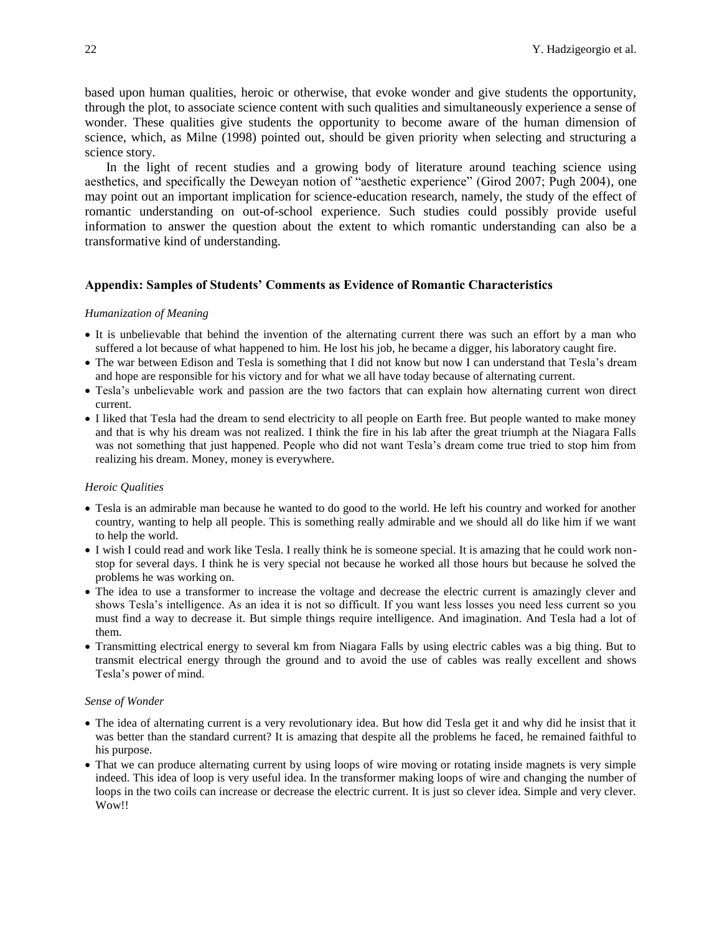based upon human qualities, heroic or otherwise, that evoke wonder and give students the opportunity, through the plot, to associate science content with such qualities and simultaneously experience a sense of wonder. These qualities give students the opportunity to become aware of the human dimension of science, which, as Milne (1998) pointed out, should be given priority when selecting and structuring a science story.

In the light of recent studies and a growing body of literature around teaching science using aesthetics, and specifically the Deweyan notion of "aesthetic experience" (Girod 2007; Pugh 2004), one may point out an important implication for science-education research, namely, the study of the effect of romantic understanding on out-of-school experience. Such studies could possibly provide useful information to answer the question about the extent to which romantic understanding can also be a transformative kind of understanding.

### **Appendix: Samples of Students' Comments as Evidence of Romantic Characteristics**

#### *Humanization of Meaning*

- It is unbelievable that behind the invention of the alternating current there was such an effort by a man who suffered a lot because of what happened to him. He lost his job, he became a digger, his laboratory caught fire.
- The war between Edison and Tesla is something that I did not know but now I can understand that Tesla's dream and hope are responsible for his victory and for what we all have today because of alternating current.
- Tesla's unbelievable work and passion are the two factors that can explain how alternating current won direct current.
- I liked that Tesla had the dream to send electricity to all people on Earth free. But people wanted to make money and that is why his dream was not realized. I think the fire in his lab after the great triumph at the Niagara Falls was not something that just happened. People who did not want Tesla's dream come true tried to stop him from realizing his dream. Money, money is everywhere.

#### *Heroic Qualities*

- Tesla is an admirable man because he wanted to do good to the world. He left his country and worked for another country, wanting to help all people. This is something really admirable and we should all do like him if we want to help the world.
- I wish I could read and work like Tesla. I really think he is someone special. It is amazing that he could work nonstop for several days. I think he is very special not because he worked all those hours but because he solved the problems he was working on.
- The idea to use a transformer to increase the voltage and decrease the electric current is amazingly clever and shows Tesla's intelligence. As an idea it is not so difficult. If you want less losses you need less current so you must find a way to decrease it. But simple things require intelligence. And imagination. And Tesla had a lot of them.
- Transmitting electrical energy to several km from Niagara Falls by using electric cables was a big thing. But to transmit electrical energy through the ground and to avoid the use of cables was really excellent and shows Tesla's power of mind.

#### *Sense of Wonder*

- The idea of alternating current is a very revolutionary idea. But how did Tesla get it and why did he insist that it was better than the standard current? It is amazing that despite all the problems he faced, he remained faithful to his purpose.
- That we can produce alternating current by using loops of wire moving or rotating inside magnets is very simple indeed. This idea of loop is very useful idea. In the transformer making loops of wire and changing the number of loops in the two coils can increase or decrease the electric current. It is just so clever idea. Simple and very clever. Wow!!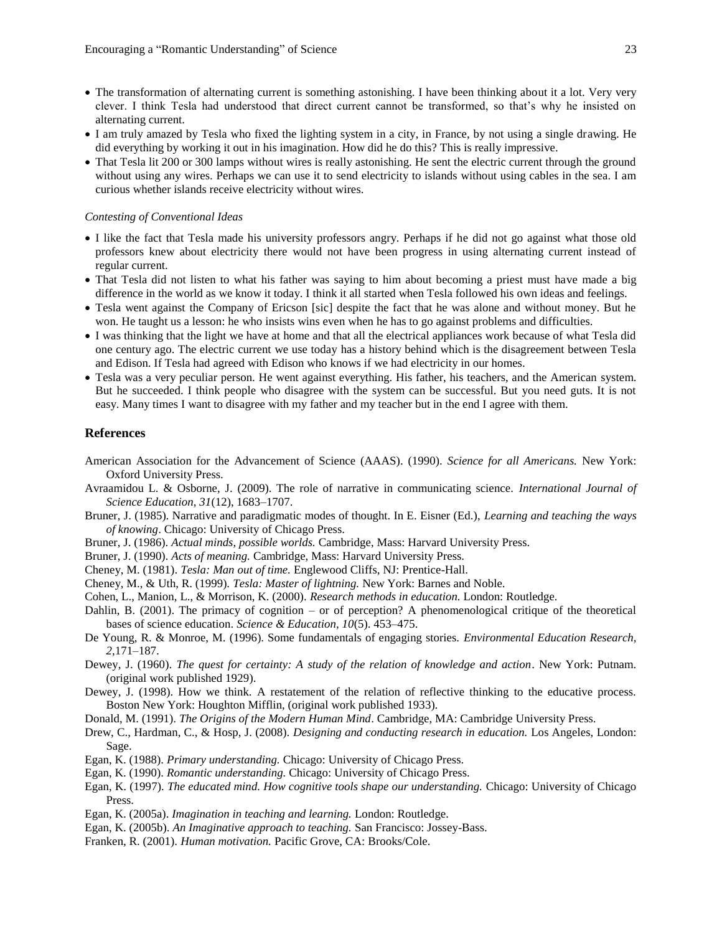- The transformation of alternating current is something astonishing. I have been thinking about it a lot. Very very clever. I think Tesla had understood that direct current cannot be transformed, so that's why he insisted on alternating current.
- I am truly amazed by Tesla who fixed the lighting system in a city, in France, by not using a single drawing. He did everything by working it out in his imagination. How did he do this? This is really impressive.
- That Tesla lit 200 or 300 lamps without wires is really astonishing. He sent the electric current through the ground without using any wires. Perhaps we can use it to send electricity to islands without using cables in the sea. I am curious whether islands receive electricity without wires.

#### *Contesting of Conventional Ideas*

- I like the fact that Tesla made his university professors angry. Perhaps if he did not go against what those old professors knew about electricity there would not have been progress in using alternating current instead of regular current.
- That Tesla did not listen to what his father was saying to him about becoming a priest must have made a big difference in the world as we know it today. I think it all started when Tesla followed his own ideas and feelings.
- Tesla went against the Company of Ericson [sic] despite the fact that he was alone and without money. But he won. He taught us a lesson: he who insists wins even when he has to go against problems and difficulties.
- I was thinking that the light we have at home and that all the electrical appliances work because of what Tesla did one century ago. The electric current we use today has a history behind which is the disagreement between Tesla and Edison. If Tesla had agreed with Edison who knows if we had electricity in our homes.
- Tesla was a very peculiar person. He went against everything. His father, his teachers, and the American system. But he succeeded. I think people who disagree with the system can be successful. But you need guts. It is not easy. Many times I want to disagree with my father and my teacher but in the end I agree with them.

### **References**

- American Association for the Advancement of Science (AAAS). (1990). *Science for all Americans.* New York: Oxford University Press.
- Avraamidou L. & Osborne, J. (2009). The role of narrative in communicating science. *International Journal of Science Education, 31*(12), 1683–1707.
- Bruner, J. (1985). Narrative and paradigmatic modes of thought. In E. Eisner (Ed.), *Learning and teaching the ways of knowing*. Chicago: University of Chicago Press.
- Bruner, J. (1986). *Actual minds, possible worlds.* Cambridge, Mass: Harvard University Press.
- Bruner, J. (1990). *Acts of meaning.* Cambridge, Mass: Harvard University Press.
- Cheney, M. (1981). *Tesla: Man out of time.* Englewood Cliffs, NJ: Prentice-Hall.
- Cheney, M., & Uth, R. (1999). *Tesla: Master of lightning.* New York: Barnes and Noble.
- Cohen, L., Manion, L., & Morrison, K. (2000). *Research methods in education.* London: Routledge.
- Dahlin, B. (2001). The primacy of cognition or of perception? A phenomenological critique of the theoretical bases of science education. *Science & Education, 10*(5). 453–475.
- De Young, R. & Monroe, M. (1996). Some fundamentals of engaging stories. *Environmental Education Research, 2*,171–187.
- Dewey, J. (1960). *The quest for certainty: A study of the relation of knowledge and action*. New York: Putnam. (original work published 1929).
- Dewey, J. (1998). How we think. A restatement of the relation of reflective thinking to the educative process. Boston New York: Houghton Mifflin, (original work published 1933).
- Donald, M. (1991). *The Origins of the Modern Human Mind*. Cambridge, MA: Cambridge University Press.
- Drew, C., Hardman, C., & Hosp, J. (2008). *Designing and conducting research in education.* Los Angeles, London: Sage.
- Egan, K. (1988). *Primary understanding.* Chicago: University of Chicago Press.
- Egan, K. (1990). *Romantic understanding.* Chicago: University of Chicago Press.
- Egan, K. (1997). *The educated mind. How cognitive tools shape our understanding.* Chicago: University of Chicago Press.
- Egan, K. (2005a). *Imagination in teaching and learning.* London: Routledge.
- Egan, K. (2005b). *An Imaginative approach to teaching.* San Francisco: Jossey-Bass.
- Franken, R. (2001). *Human motivation.* Pacific Grove, CA: Brooks/Cole.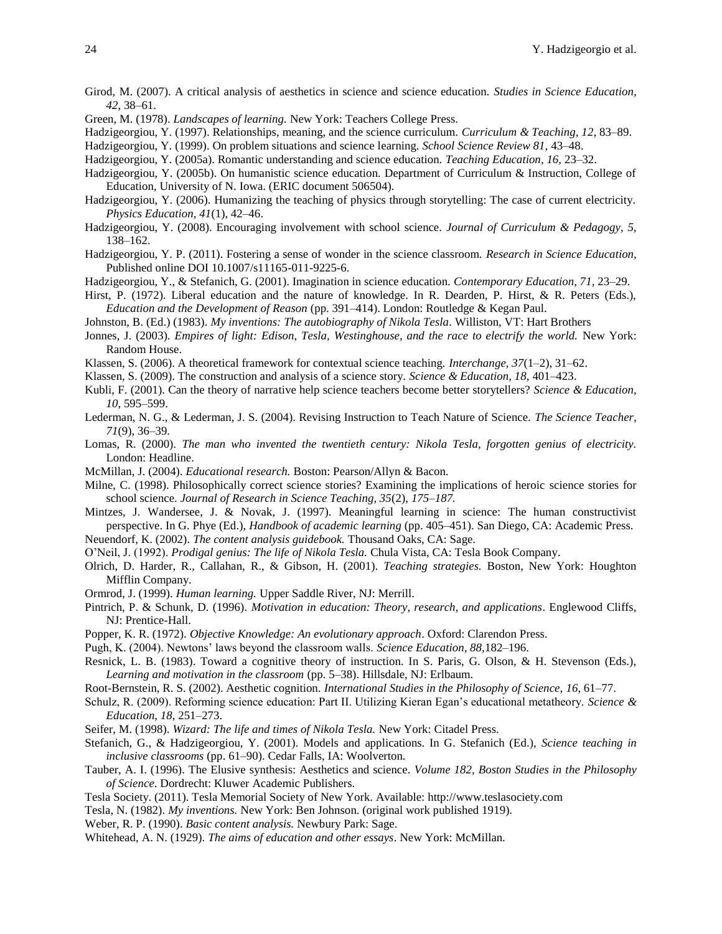- Girod, M. (2007). A critical analysis of aesthetics in science and science education. *Studies in Science Education, 42*, 38–61.
- Green, M. (1978). *Landscapes of learning.* New York: Teachers College Press.
- Hadzigeorgiou, Y. (1997). Relationships, meaning, and the science curriculum. *Curriculum & Teaching, 12,* 83–89.

Hadzigeorgiou, Y. (1999). On problem situations and science learning. *School Science Review 81,* 43–48.

- Hadzigeorgiou, Y. (2005a). Romantic understanding and science education. *Teaching Education, 16,* 23–32.
- Hadzigeorgiou, Y. (2005b). On humanistic science education. Department of Curriculum & Instruction, College of Education, University of N. Iowa. (ERIC document 506504).
- Hadzigeorgiou, Y. (2006). Humanizing the teaching of physics through storytelling: The case of current electricity. *Physics Education, 41*(1), 42–46.
- Hadzigeorgiou, Y. (2008). Encouraging involvement with school science. *Journal of Curriculum & Pedagogy, 5,*  138–162.
- Hadzigeorgiou, Y. P. (2011). Fostering a sense of wonder in the science classroom. *Research in Science Education,*  Published online DOI 10.1007/s11165-011-9225-6.
- Hadzigeorgiou, Y., & Stefanich, G. (2001). Imagination in science education. *Contemporary Education, 71,* 23–29.
- Hirst, P. (1972). Liberal education and the nature of knowledge. In R. Dearden, P. Hirst, & R. Peters (Eds.), *Education and the Development of Reason* (pp. 391–414). London: Routledge & Kegan Paul.

Johnston, B. (Ed.) (1983). *My inventions: The autobiography of Nikola Tesla*. Williston, VT: Hart Brothers

- Jonnes, J. (2003). *Empires of light: Edison, Tesla, Westinghouse, and the race to electrify the world.* New York: Random House.
- Klassen, S. (2006). A theoretical framework for contextual science teaching. *Interchange, 37*(1–2), 31–62.
- Klassen, S. (2009). The construction and analysis of a science story. *Science & Education, 18,* 401–423.
- Kubli, F. (2001). Can the theory of narrative help science teachers become better storytellers? *Science & Education, 10,* 595–599.
- Lederman, N. G., & Lederman, J. S. (2004). Revising Instruction to Teach Nature of Science. *The Science Teacher, 71*(9), 36–39.
- Lomas, R. (2000). *The man who invented the twentieth century: Nikola Tesla, forgotten genius of electricity.* London: Headline.
- McMillan, J. (2004). *Educational research.* Boston: Pearson/Allyn & Bacon.
- Milne, C. (1998). Philosophically correct science stories? Examining the implications of heroic science stories for school science. *Journal of Research in Science Teaching, 35*(2), *175–187.*
- Mintzes, J. Wandersee, J. & Novak, J. (1997). Meaningful learning in science: The human constructivist perspective. In G. Phye (Ed.), *Handbook of academic learning* (pp. 405–451). San Diego, CA: Academic Press. Neuendorf, K. (2002). *The content analysis guidebook.* Thousand Oaks, CA: Sage.
- O'Neil, J. (1992). *Prodigal genius: The life of Nikola Tesla.* Chula Vista, CA: Tesla Book Company.
- Olrich, D. Harder, R., Callahan, R., & Gibson, H. (2001). *Teaching strategies.* Boston, New York: Houghton Mifflin Company.
- Ormrod, J. (1999). *Human learning.* Upper Saddle River, NJ: Merrill.
- Pintrich, P. & Schunk, D. (1996). *Motivation in education: Theory, research, and applications*. Englewood Cliffs, NJ: Prentice-Hall.
- Popper, K. R. (1972). *Objective Knowledge: An evolutionary approach*. Oxford: Clarendon Press.
- Pugh, K. (2004). Newtons' laws beyond the classroom walls. *Science Education, 88,*182–196.
- Resnick, L. B. (1983). Toward a cognitive theory of instruction. In S. Paris, G. Olson, & H. Stevenson (Eds.), *Learning and motivation in the classroom* (pp. 5–38). Hillsdale, NJ: Erlbaum.
- Root-Bernstein, R. S. (2002). Aesthetic cognition. *International Studies in the Philosophy of Science, 16*, 61–77.
- Schulz, R. (2009). Reforming science education: Part II. Utilizing Kieran Egan's educational metatheory. *Science & Education, 18*, 251–273.
- Seifer, M. (1998). *Wizard: The life and times of Nikola Tesla.* New York: Citadel Press.
- Stefanich, G., & Hadzigeorgiou, Y. (2001). Models and applications. In G. Stefanich (Ed.), *Science teaching in inclusive classrooms* (pp. 61–90). Cedar Falls, IA: Woolverton.
- Tauber, A. I. (1996). The Elusive synthesis: Aesthetics and science. *Volume 182, Boston Studies in the Philosophy of Science*. Dordrecht: Kluwer Academic Publishers.
- Tesla Society. (2011). Tesla Memorial Society of New York. Available: http://www.teslasociety.com
- Tesla, N. (1982). *My inventions.* New York: Ben Johnson. (original work published 1919).
- Weber, R. P. (1990). *Basic content analysis.* Newbury Park: Sage.
- Whitehead, A. N. (1929). *The aims of education and other essays*. New York: McMillan.